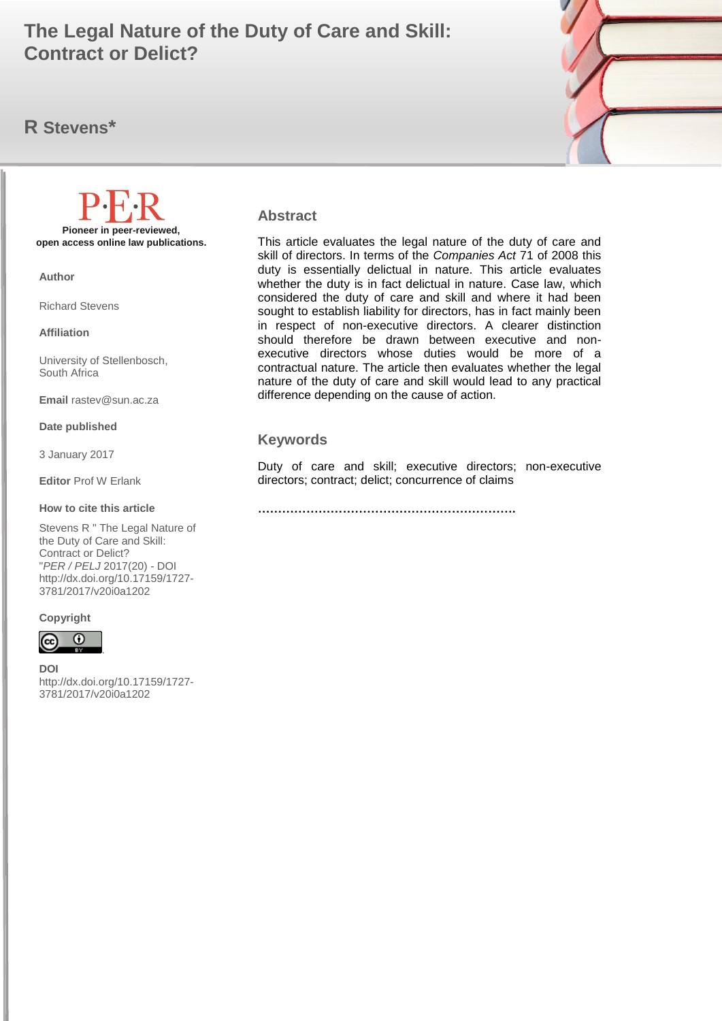# **Contract or Delict? Contract or Delict? The Legal Nature of the Duty of Care and Skill:**

# **R Stevens\***



#### **Abstract**

This article evaluates the legal nature of the duty of care and skill of directors. In terms of the *Companies Act* 71 of 2008 this duty is essentially delictual in nature. This article evaluates whether the duty is in fact delictual in nature. Case law, which considered the duty of care and skill and where it had been sought to establish liability for directors, has in fact mainly been in respect of non-executive directors. A clearer distinction should therefore be drawn between executive and nonexecutive directors whose duties would be more of a contractual nature. The article then evaluates whether the legal nature of the duty of care and skill would lead to any practical difference depending on the cause of action.

#### **Keywords**

Duty of care and skill; executive directors; non-executive directors; contract; delict; concurrence of claims

**……………………………………………………….**

**Pioneer in peer-reviewed, open access online law publications.**

**Author**

Richard Stevens

**Affiliation**

University of Stellenbosch, South Africa

**Email** rastev@sun.ac.za

#### **Date published**

3 January 2017

**Editor** Prof W Erlank

#### **How to cite this article**

Stevens R " The Legal Nature of the Duty of Care and Skill: Contract or Delict? "*PER / PELJ* 2017(20) - DOI http://dx.doi.org/10.17159/1727- 3781/2017/v20i0a[1202](http://journals.assaf.org.za/index.php/per/editor/submission/1160) 

#### **Copyright**



**DOI**  http://dx.doi.org/10.17159/1727- 3781/2017/v20i0a[1202](http://journals.assaf.org.za/index.php/per/editor/submission/1160)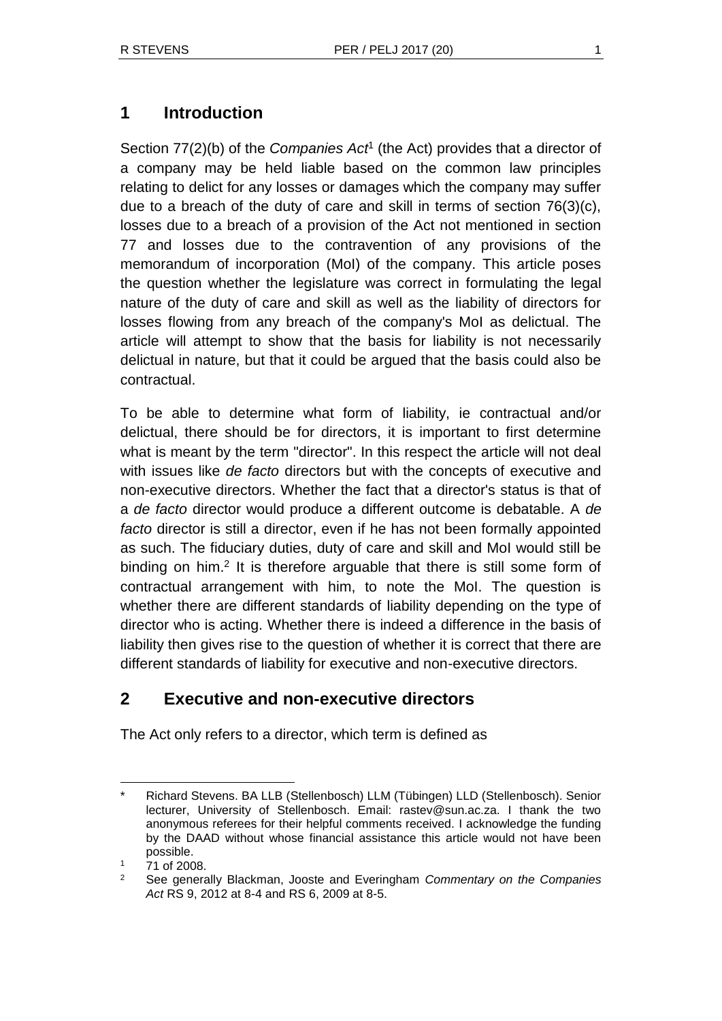Section 77(2)(b) of the *Companies Act<sup>1</sup>* (the Act) provides that a director of a company may be held liable based on the common law principles relating to delict for any losses or damages which the company may suffer due to a breach of the duty of care and skill in terms of section 76(3)(c), losses due to a breach of a provision of the Act not mentioned in section 77 and losses due to the contravention of any provisions of the memorandum of incorporation (MoI) of the company. This article poses the question whether the legislature was correct in formulating the legal nature of the duty of care and skill as well as the liability of directors for losses flowing from any breach of the company's MoI as delictual. The article will attempt to show that the basis for liability is not necessarily delictual in nature, but that it could be argued that the basis could also be contractual.

To be able to determine what form of liability, ie contractual and/or delictual, there should be for directors, it is important to first determine what is meant by the term "director". In this respect the article will not deal with issues like *de facto* directors but with the concepts of executive and non-executive directors. Whether the fact that a director's status is that of a *de facto* director would produce a different outcome is debatable. A *de facto* director is still a director, even if he has not been formally appointed as such. The fiduciary duties, duty of care and skill and MoI would still be binding on him.<sup>2</sup> It is therefore arguable that there is still some form of contractual arrangement with him, to note the MoI. The question is whether there are different standards of liability depending on the type of director who is acting. Whether there is indeed a difference in the basis of liability then gives rise to the question of whether it is correct that there are different standards of liability for executive and non-executive directors.

# **2 Executive and non-executive directors**

The Act only refers to a director, which term is defined as

<sup>\*</sup> Richard Stevens. BA LLB (Stellenbosch) LLM (Tübingen) LLD (Stellenbosch). Senior lecturer, University of Stellenbosch. Email: rastev@sun.ac.za. I thank the two anonymous referees for their helpful comments received. I acknowledge the funding by the DAAD without whose financial assistance this article would not have been possible.

<sup>71</sup> of 2008.

<sup>2</sup> See generally Blackman, Jooste and Everingham *Commentary on the Companies Act* RS 9, 2012 at 8-4 and RS 6, 2009 at 8-5.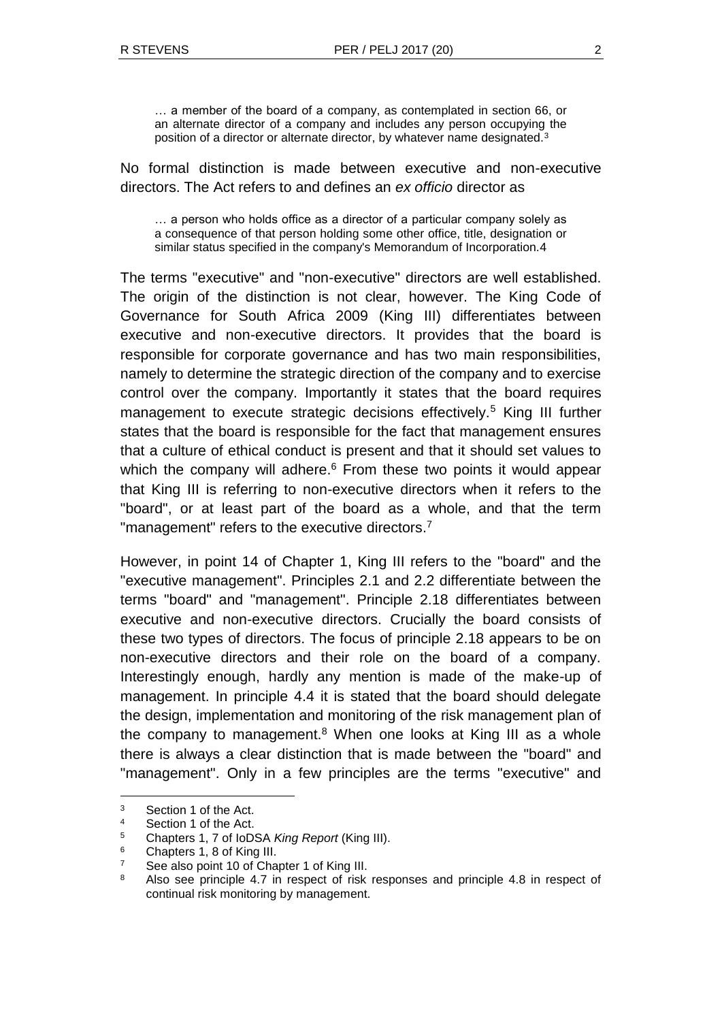… a member of the board of a company, as contemplated in section 66, or an alternate director of a company and includes any person occupying the position of a director or alternate director, by whatever name designated.<sup>3</sup>

No formal distinction is made between executive and non-executive directors. The Act refers to and defines an *ex officio* director as

… a person who holds office as a director of a particular company solely as a consequence of that person holding some other office, title, designation or similar status specified in the company's Memorandum of Incorporation.4

The terms "executive" and "non-executive" directors are well established. The origin of the distinction is not clear, however. The King Code of Governance for South Africa 2009 (King III) differentiates between executive and non-executive directors. It provides that the board is responsible for corporate governance and has two main responsibilities, namely to determine the strategic direction of the company and to exercise control over the company. Importantly it states that the board requires management to execute strategic decisions effectively.<sup>5</sup> King III further states that the board is responsible for the fact that management ensures that a culture of ethical conduct is present and that it should set values to which the company will adhere. $6$  From these two points it would appear that King III is referring to non-executive directors when it refers to the "board", or at least part of the board as a whole, and that the term "management" refers to the executive directors.<sup>7</sup>

However, in point 14 of Chapter 1, King III refers to the "board" and the "executive management". Principles 2.1 and 2.2 differentiate between the terms "board" and "management". Principle 2.18 differentiates between executive and non-executive directors. Crucially the board consists of these two types of directors. The focus of principle 2.18 appears to be on non-executive directors and their role on the board of a company. Interestingly enough, hardly any mention is made of the make-up of management. In principle 4.4 it is stated that the board should delegate the design, implementation and monitoring of the risk management plan of the company to management. $8$  When one looks at King III as a whole there is always a clear distinction that is made between the "board" and "management". Only in a few principles are the terms "executive" and

<sup>3</sup> Section 1 of the Act.

<sup>4</sup> Section 1 of the Act.

<sup>5</sup> Chapters 1, 7 of IoDSA *King Report* (King III).

<sup>6</sup> Chapters 1, 8 of King III.

<sup>&</sup>lt;sup>7</sup> See also point 10 of Chapter 1 of King III.

<sup>8</sup> Also see principle 4.7 in respect of risk responses and principle 4.8 in respect of continual risk monitoring by management.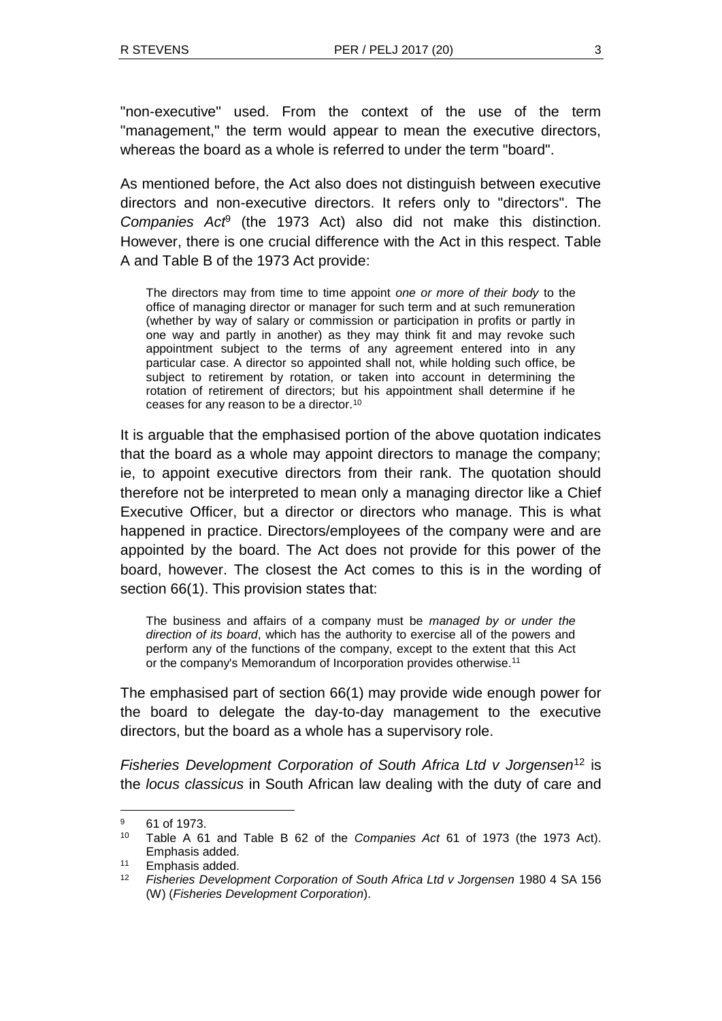"non-executive" used. From the context of the use of the term "management," the term would appear to mean the executive directors, whereas the board as a whole is referred to under the term "board".

As mentioned before, the Act also does not distinguish between executive directors and non-executive directors. It refers only to "directors". The *Companies Act*<sup>9</sup> (the 1973 Act) also did not make this distinction. However, there is one crucial difference with the Act in this respect. Table A and Table B of the 1973 Act provide:

The directors may from time to time appoint *one or more of their body* to the office of managing director or manager for such term and at such remuneration (whether by way of salary or commission or participation in profits or partly in one way and partly in another) as they may think fit and may revoke such appointment subject to the terms of any agreement entered into in any particular case. A director so appointed shall not, while holding such office, be subject to retirement by rotation, or taken into account in determining the rotation of retirement of directors; but his appointment shall determine if he ceases for any reason to be a director.<sup>10</sup>

It is arguable that the emphasised portion of the above quotation indicates that the board as a whole may appoint directors to manage the company; ie, to appoint executive directors from their rank. The quotation should therefore not be interpreted to mean only a managing director like a Chief Executive Officer, but a director or directors who manage. This is what happened in practice. Directors/employees of the company were and are appointed by the board. The Act does not provide for this power of the board, however. The closest the Act comes to this is in the wording of section 66(1). This provision states that:

The business and affairs of a company must be *managed by or under the direction of its board*, which has the authority to exercise all of the powers and perform any of the functions of the company, except to the extent that this Act or the company's Memorandum of Incorporation provides otherwise.<sup>11</sup>

The emphasised part of section 66(1) may provide wide enough power for the board to delegate the day-to-day management to the executive directors, but the board as a whole has a supervisory role.

*Fisheries Development Corporation of South Africa Ltd v Jorgensen*<sup>12</sup> is the *locus classicus* in South African law dealing with the duty of care and

<sup>9</sup> 61 of 1973.

<sup>10</sup> Table A 61 and Table B 62 of the *Companies Act* 61 of 1973 (the 1973 Act). Emphasis added.

<sup>11</sup> Emphasis added.

<sup>12</sup> *Fisheries Development Corporation of South Africa Ltd v Jorgensen* 1980 4 SA 156 (W) (*Fisheries Development Corporation*).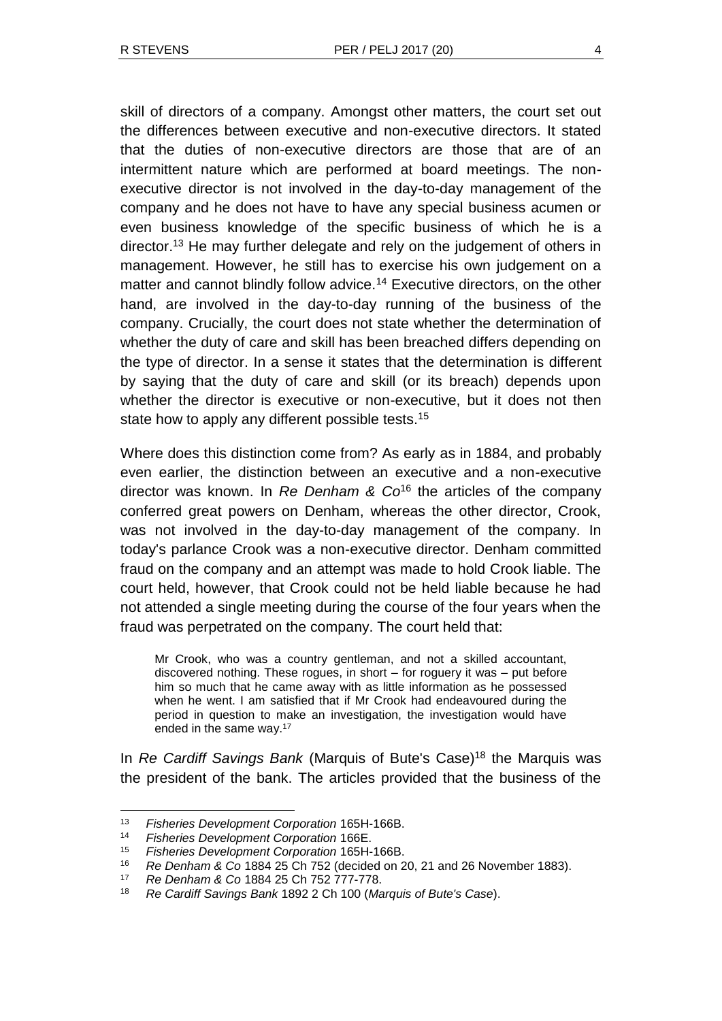skill of directors of a company. Amongst other matters, the court set out the differences between executive and non-executive directors. It stated that the duties of non-executive directors are those that are of an intermittent nature which are performed at board meetings. The nonexecutive director is not involved in the day-to-day management of the company and he does not have to have any special business acumen or even business knowledge of the specific business of which he is a director.<sup>13</sup> He may further delegate and rely on the judgement of others in management. However, he still has to exercise his own judgement on a matter and cannot blindly follow advice.<sup>14</sup> Executive directors, on the other hand, are involved in the day-to-day running of the business of the company. Crucially, the court does not state whether the determination of whether the duty of care and skill has been breached differs depending on the type of director. In a sense it states that the determination is different by saying that the duty of care and skill (or its breach) depends upon whether the director is executive or non-executive, but it does not then state how to apply any different possible tests.<sup>15</sup>

Where does this distinction come from? As early as in 1884, and probably even earlier, the distinction between an executive and a non-executive director was known. In *Re Denham & Co*<sup>16</sup> the articles of the company conferred great powers on Denham, whereas the other director, Crook, was not involved in the day-to-day management of the company. In today's parlance Crook was a non-executive director. Denham committed fraud on the company and an attempt was made to hold Crook liable. The court held, however, that Crook could not be held liable because he had not attended a single meeting during the course of the four years when the fraud was perpetrated on the company. The court held that:

Mr Crook, who was a country gentleman, and not a skilled accountant, discovered nothing. These rogues, in short – for roguery it was – put before him so much that he came away with as little information as he possessed when he went. I am satisfied that if Mr Crook had endeavoured during the period in question to make an investigation, the investigation would have ended in the same way.<sup>17</sup>

In *Re Cardiff Savings Bank* (Marquis of Bute's Case)<sup>18</sup> the Marquis was the president of the bank. The articles provided that the business of the

<sup>13</sup> *Fisheries Development Corporation* 165H-166B.

<sup>14</sup> *Fisheries Development Corporation* 166E.

<sup>15</sup> *Fisheries Development Corporation* 165H-166B.

<sup>16</sup> *Re Denham & Co* 1884 25 Ch 752 (decided on 20, 21 and 26 November 1883).

<sup>17</sup> *Re Denham & Co* 1884 25 Ch 752 777-778.

<sup>18</sup> *Re Cardiff Savings Bank* 1892 2 Ch 100 (*Marquis of Bute's Case*).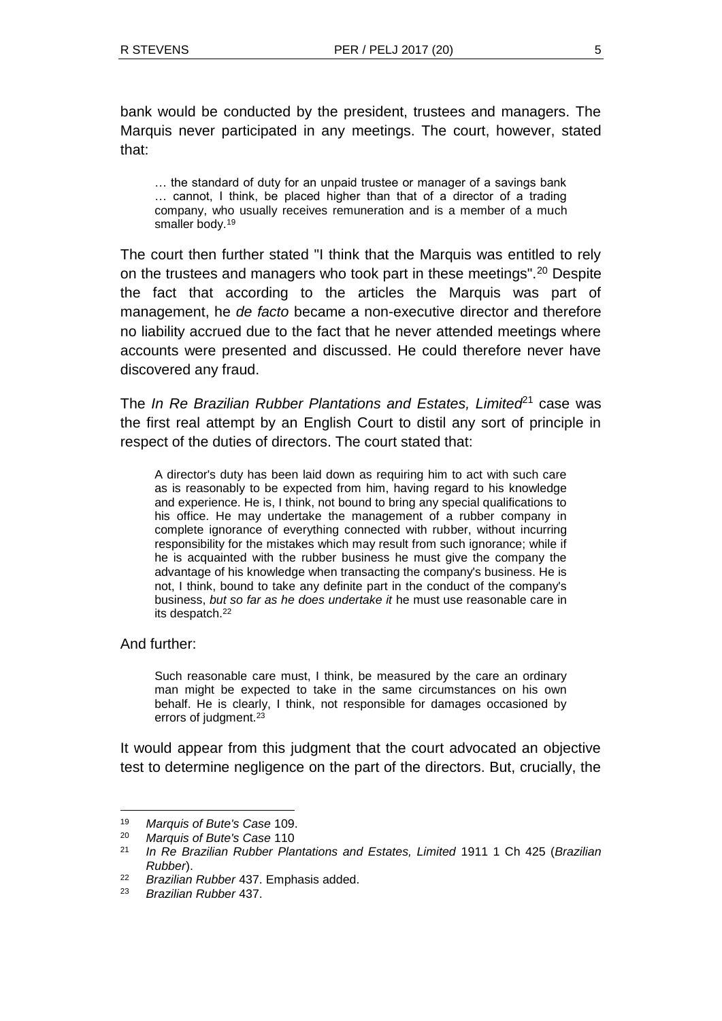bank would be conducted by the president, trustees and managers. The Marquis never participated in any meetings. The court, however, stated that:

… the standard of duty for an unpaid trustee or manager of a savings bank … cannot, I think, be placed higher than that of a director of a trading company, who usually receives remuneration and is a member of a much smaller body.<sup>19</sup>

The court then further stated "I think that the Marquis was entitled to rely on the trustees and managers who took part in these meetings".<sup>20</sup> Despite the fact that according to the articles the Marquis was part of management, he *de facto* became a non-executive director and therefore no liability accrued due to the fact that he never attended meetings where accounts were presented and discussed. He could therefore never have discovered any fraud.

The *In Re Brazilian Rubber Plantations and Estates, Limited*<sup>21</sup> case was the first real attempt by an English Court to distil any sort of principle in respect of the duties of directors. The court stated that:

A director's duty has been laid down as requiring him to act with such care as is reasonably to be expected from him, having regard to his knowledge and experience. He is, I think, not bound to bring any special qualifications to his office. He may undertake the management of a rubber company in complete ignorance of everything connected with rubber, without incurring responsibility for the mistakes which may result from such ignorance; while if he is acquainted with the rubber business he must give the company the advantage of his knowledge when transacting the company's business. He is not, I think, bound to take any definite part in the conduct of the company's business, *but so far as he does undertake it* he must use reasonable care in its despatch.<sup>22</sup>

And further:

l

Such reasonable care must, I think, be measured by the care an ordinary man might be expected to take in the same circumstances on his own behalf. He is clearly, I think, not responsible for damages occasioned by errors of judgment.<sup>23</sup>

It would appear from this judgment that the court advocated an objective test to determine negligence on the part of the directors. But, crucially, the

<sup>19</sup> *Marquis of Bute's Case* 109.

<sup>20</sup> *Marquis of Bute's Case* 110

<sup>21</sup> *In Re Brazilian Rubber Plantations and Estates, Limited* 1911 1 Ch 425 (*Brazilian Rubber*).

<sup>22</sup> *Brazilian Rubber* 437. Emphasis added.

<sup>23</sup> *Brazilian Rubber* 437.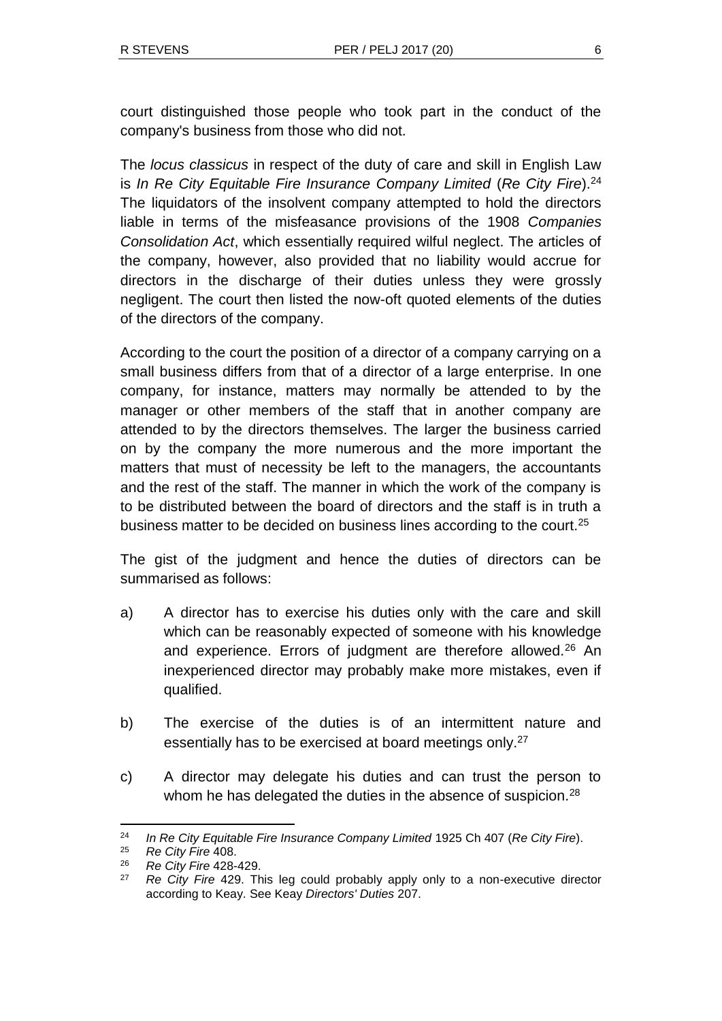court distinguished those people who took part in the conduct of the company's business from those who did not.

The *locus classicus* in respect of the duty of care and skill in English Law is *In Re City Equitable Fire Insurance Company Limited* (*Re City Fire*).<sup>24</sup> The liquidators of the insolvent company attempted to hold the directors liable in terms of the misfeasance provisions of the 1908 *Companies Consolidation Act*, which essentially required wilful neglect. The articles of the company, however, also provided that no liability would accrue for directors in the discharge of their duties unless they were grossly negligent. The court then listed the now-oft quoted elements of the duties of the directors of the company.

According to the court the position of a director of a company carrying on a small business differs from that of a director of a large enterprise. In one company, for instance, matters may normally be attended to by the manager or other members of the staff that in another company are attended to by the directors themselves. The larger the business carried on by the company the more numerous and the more important the matters that must of necessity be left to the managers, the accountants and the rest of the staff. The manner in which the work of the company is to be distributed between the board of directors and the staff is in truth a business matter to be decided on business lines according to the court.<sup>25</sup>

The gist of the judgment and hence the duties of directors can be summarised as follows:

- a) A director has to exercise his duties only with the care and skill which can be reasonably expected of someone with his knowledge and experience. Errors of judgment are therefore allowed.<sup>26</sup> An inexperienced director may probably make more mistakes, even if qualified.
- b) The exercise of the duties is of an intermittent nature and essentially has to be exercised at board meetings only.<sup>27</sup>
- c) A director may delegate his duties and can trust the person to whom he has delegated the duties in the absence of suspicion.<sup>28</sup>

<sup>24</sup> *In Re City Equitable Fire Insurance Company Limited* 1925 Ch 407 (*Re City Fire*).

<sup>25</sup> *Re City Fire* 408.

<sup>26</sup> *Re City Fire* 428-429.

<sup>27</sup> *Re City Fire* 429. This leg could probably apply only to a non-executive director according to Keay. See Keay *Directors' Duties* 207.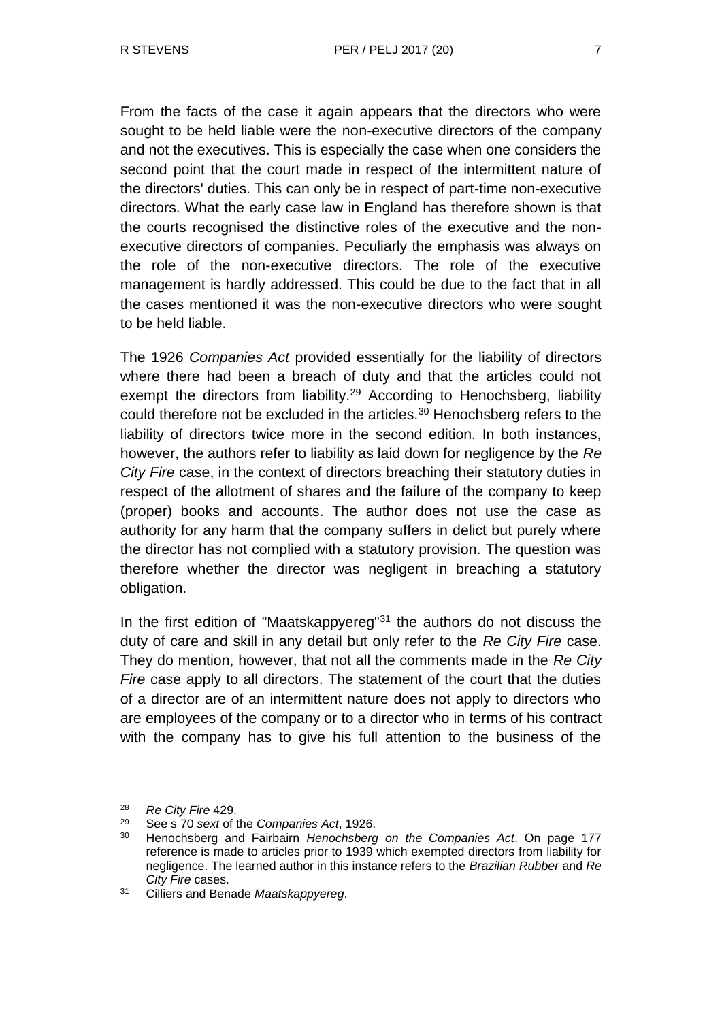From the facts of the case it again appears that the directors who were sought to be held liable were the non-executive directors of the company and not the executives. This is especially the case when one considers the second point that the court made in respect of the intermittent nature of the directors' duties. This can only be in respect of part-time non-executive directors. What the early case law in England has therefore shown is that the courts recognised the distinctive roles of the executive and the nonexecutive directors of companies. Peculiarly the emphasis was always on the role of the non-executive directors. The role of the executive management is hardly addressed. This could be due to the fact that in all the cases mentioned it was the non-executive directors who were sought to be held liable.

The 1926 *Companies Act* provided essentially for the liability of directors where there had been a breach of duty and that the articles could not exempt the directors from liability.<sup>29</sup> According to Henochsberg, liability could therefore not be excluded in the articles.<sup>30</sup> Henochsberg refers to the liability of directors twice more in the second edition. In both instances, however, the authors refer to liability as laid down for negligence by the *Re City Fire* case, in the context of directors breaching their statutory duties in respect of the allotment of shares and the failure of the company to keep (proper) books and accounts. The author does not use the case as authority for any harm that the company suffers in delict but purely where the director has not complied with a statutory provision. The question was therefore whether the director was negligent in breaching a statutory obligation.

In the first edition of "Maatskappyereg"<sup>31</sup> the authors do not discuss the duty of care and skill in any detail but only refer to the *Re City Fire* case. They do mention, however, that not all the comments made in the *Re City Fire* case apply to all directors. The statement of the court that the duties of a director are of an intermittent nature does not apply to directors who are employees of the company or to a director who in terms of his contract with the company has to give his full attention to the business of the

1

<sup>28</sup> *Re City Fire* 429.

<sup>29</sup> See s 70 *sext* of the *Companies Act*, 1926.

<sup>30</sup> Henochsberg and Fairbairn *Henochsberg on the Companies Act*. On page 177 reference is made to articles prior to 1939 which exempted directors from liability for negligence. The learned author in this instance refers to the *Brazilian Rubber* and *Re City Fire* cases.

<sup>31</sup> Cilliers and Benade *Maatskappyereg*.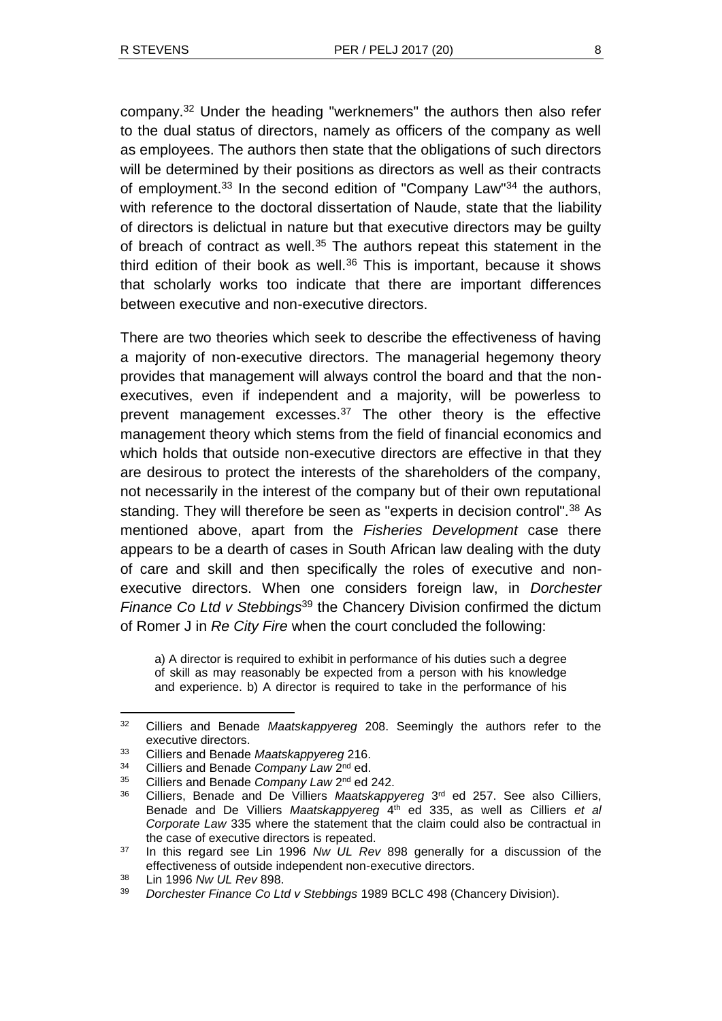company.<sup>32</sup> Under the heading "werknemers" the authors then also refer to the dual status of directors, namely as officers of the company as well as employees. The authors then state that the obligations of such directors will be determined by their positions as directors as well as their contracts of employment.<sup>33</sup> In the second edition of "Company Law"<sup>34</sup> the authors, with reference to the doctoral dissertation of Naude, state that the liability of directors is delictual in nature but that executive directors may be guilty of breach of contract as well.<sup>35</sup> The authors repeat this statement in the third edition of their book as well.<sup>36</sup> This is important, because it shows that scholarly works too indicate that there are important differences between executive and non-executive directors.

There are two theories which seek to describe the effectiveness of having a majority of non-executive directors. The managerial hegemony theory provides that management will always control the board and that the nonexecutives, even if independent and a majority, will be powerless to prevent management excesses.<sup>37</sup> The other theory is the effective management theory which stems from the field of financial economics and which holds that outside non-executive directors are effective in that they are desirous to protect the interests of the shareholders of the company, not necessarily in the interest of the company but of their own reputational standing. They will therefore be seen as "experts in decision control".<sup>38</sup> As mentioned above, apart from the *Fisheries Development* case there appears to be a dearth of cases in South African law dealing with the duty of care and skill and then specifically the roles of executive and nonexecutive directors. When one considers foreign law, in *Dorchester Finance Co Ltd v Stebbings*<sup>39</sup> the Chancery Division confirmed the dictum of Romer J in *Re City Fire* when the court concluded the following:

a) A director is required to exhibit in performance of his duties such a degree of skill as may reasonably be expected from a person with his knowledge and experience. b) A director is required to take in the performance of his

<sup>32</sup> Cilliers and Benade *Maatskappyereg* 208. Seemingly the authors refer to the executive directors.

<sup>33</sup> Cilliers and Benade *Maatskappyereg* 216.

<sup>&</sup>lt;sup>34</sup> Cilliers and Benade Company Law 2<sup>nd</sup> ed.

<sup>35</sup> Cilliers and Benade *Company Law* 2<sup>nd</sup> ed 242.

<sup>&</sup>lt;sup>36</sup> Cilliers, Benade and De Villiers *Maatskappyereg* 3<sup>rd</sup> ed 257. See also Cilliers, Benade and De Villiers *Maatskappyereg* 4 th ed 335, as well as Cilliers *et al Corporate Law* 335 where the statement that the claim could also be contractual in the case of executive directors is repeated.

<sup>37</sup> In this regard see Lin 1996 *Nw UL Rev* 898 generally for a discussion of the effectiveness of outside independent non-executive directors.

<sup>38</sup> Lin 1996 *Nw UL Rev* 898.

<sup>39</sup> *Dorchester Finance Co Ltd v Stebbings* 1989 BCLC 498 (Chancery Division).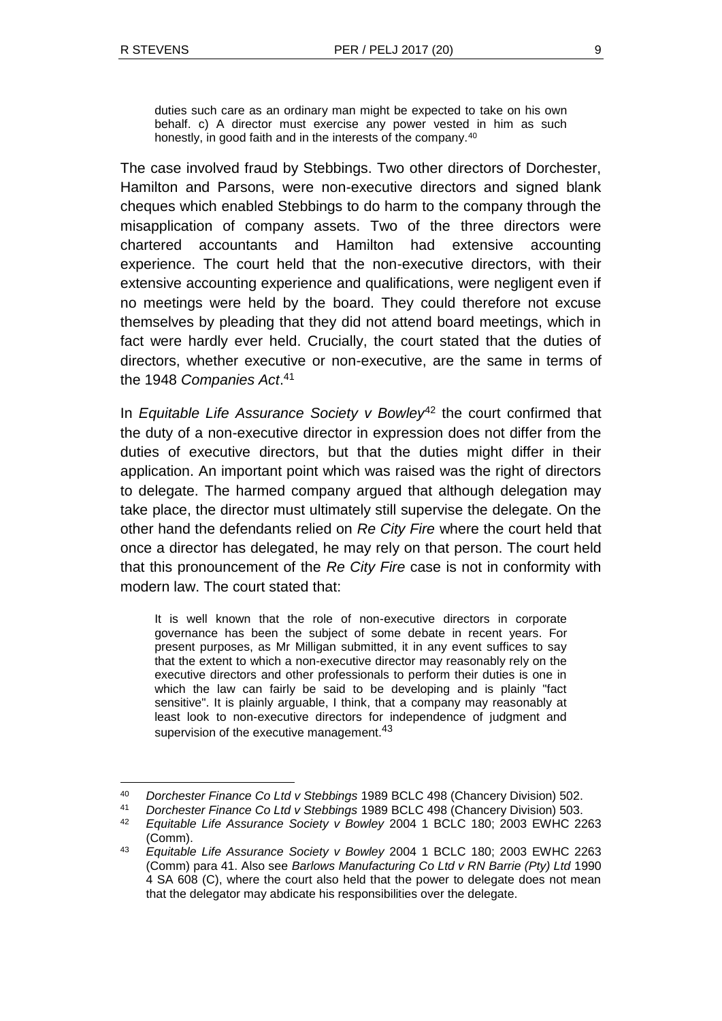l

duties such care as an ordinary man might be expected to take on his own behalf. c) A director must exercise any power vested in him as such honestly, in good faith and in the interests of the company.<sup>40</sup>

The case involved fraud by Stebbings. Two other directors of Dorchester, Hamilton and Parsons, were non-executive directors and signed blank cheques which enabled Stebbings to do harm to the company through the misapplication of company assets. Two of the three directors were chartered accountants and Hamilton had extensive accounting experience. The court held that the non-executive directors, with their extensive accounting experience and qualifications, were negligent even if no meetings were held by the board. They could therefore not excuse themselves by pleading that they did not attend board meetings, which in fact were hardly ever held. Crucially, the court stated that the duties of directors, whether executive or non-executive, are the same in terms of the 1948 *Companies Act*. 41

In *Equitable Life Assurance Society v Bowley*<sup>42</sup> the court confirmed that the duty of a non-executive director in expression does not differ from the duties of executive directors, but that the duties might differ in their application. An important point which was raised was the right of directors to delegate. The harmed company argued that although delegation may take place, the director must ultimately still supervise the delegate. On the other hand the defendants relied on *Re City Fire* where the court held that once a director has delegated, he may rely on that person. The court held that this pronouncement of the *Re City Fire* case is not in conformity with modern law. The court stated that:

It is well known that the role of non-executive directors in corporate governance has been the subject of some debate in recent years. For present purposes, as Mr Milligan submitted, it in any event suffices to say that the extent to which a non-executive director may reasonably rely on the executive directors and other professionals to perform their duties is one in which the law can fairly be said to be developing and is plainly "fact sensitive". It is plainly arguable, I think, that a company may reasonably at least look to non-executive directors for independence of judgment and supervision of the executive management.<sup>43</sup>

<sup>40</sup> *Dorchester Finance Co Ltd v Stebbings* 1989 BCLC 498 (Chancery Division) 502.

<sup>41</sup> *Dorchester Finance Co Ltd v Stebbings* 1989 BCLC 498 (Chancery Division) 503.

<sup>42</sup> *Equitable Life Assurance Society v Bowley* 2004 1 BCLC 180; 2003 EWHC 2263 (Comm).

<sup>43</sup> *Equitable Life Assurance Society v Bowley* 2004 1 BCLC 180; 2003 EWHC 2263 (Comm) para 41. Also see *Barlows Manufacturing Co Ltd v RN Barrie (Pty) Ltd* 1990 4 SA 608 (C), where the court also held that the power to delegate does not mean that the delegator may abdicate his responsibilities over the delegate.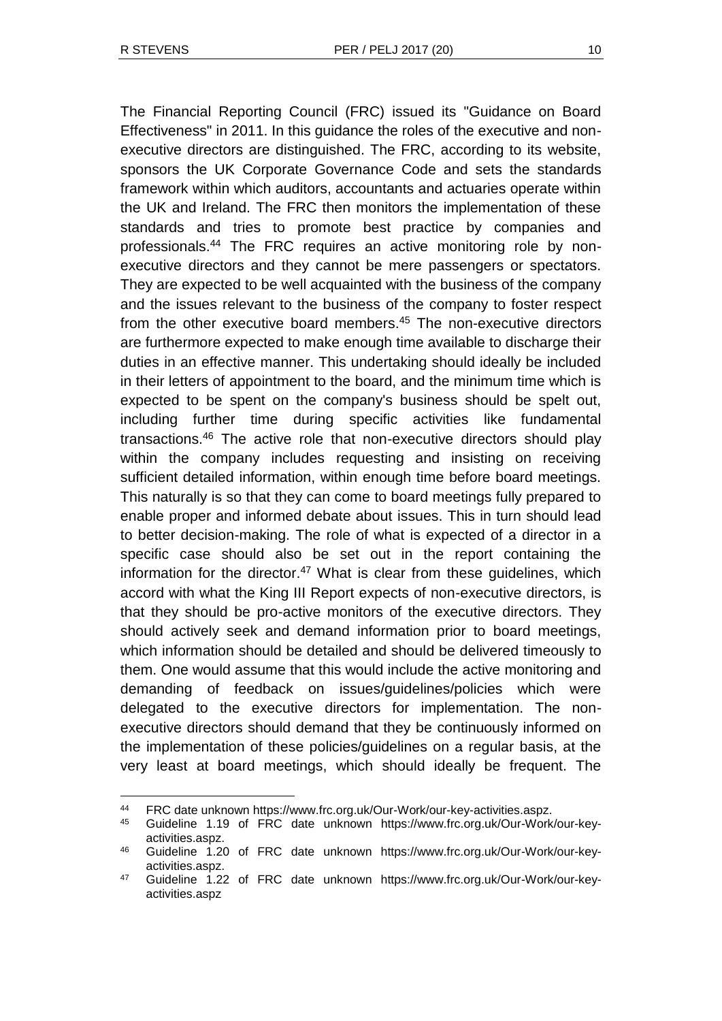l

The Financial Reporting Council (FRC) issued its "Guidance on Board Effectiveness" in 2011. In this guidance the roles of the executive and nonexecutive directors are distinguished. The FRC, according to its website, sponsors the UK Corporate Governance Code and sets the standards framework within which auditors, accountants and actuaries operate within the UK and Ireland. The FRC then monitors the implementation of these standards and tries to promote best practice by companies and professionals.<sup>44</sup> The FRC requires an active monitoring role by nonexecutive directors and they cannot be mere passengers or spectators. They are expected to be well acquainted with the business of the company and the issues relevant to the business of the company to foster respect from the other executive board members.<sup>45</sup> The non-executive directors are furthermore expected to make enough time available to discharge their duties in an effective manner. This undertaking should ideally be included in their letters of appointment to the board, and the minimum time which is expected to be spent on the company's business should be spelt out, including further time during specific activities like fundamental transactions.<sup>46</sup> The active role that non-executive directors should play within the company includes requesting and insisting on receiving sufficient detailed information, within enough time before board meetings. This naturally is so that they can come to board meetings fully prepared to enable proper and informed debate about issues. This in turn should lead to better decision-making. The role of what is expected of a director in a specific case should also be set out in the report containing the information for the director.<sup>47</sup> What is clear from these quidelines, which accord with what the King III Report expects of non-executive directors, is that they should be pro-active monitors of the executive directors. They should actively seek and demand information prior to board meetings, which information should be detailed and should be delivered timeously to them. One would assume that this would include the active monitoring and demanding of feedback on issues/guidelines/policies which were delegated to the executive directors for implementation. The nonexecutive directors should demand that they be continuously informed on the implementation of these policies/guidelines on a regular basis, at the very least at board meetings, which should ideally be frequent. The

<sup>44</sup> FRC date unknown https://www.frc.org.uk/Our-Work/our-key-activities.aspz.

<sup>45</sup> Guideline 1.19 of FRC date unknown https://www.frc.org.uk/Our-Work/our-keyactivities.aspz.

<sup>46</sup> Guideline 1.20 of FRC date unknown https://www.frc.org.uk/Our-Work/our-keyactivities.aspz.

<sup>47</sup> Guideline 1.22 of FRC date unknown https://www.frc.org.uk/Our-Work/our-keyactivities.aspz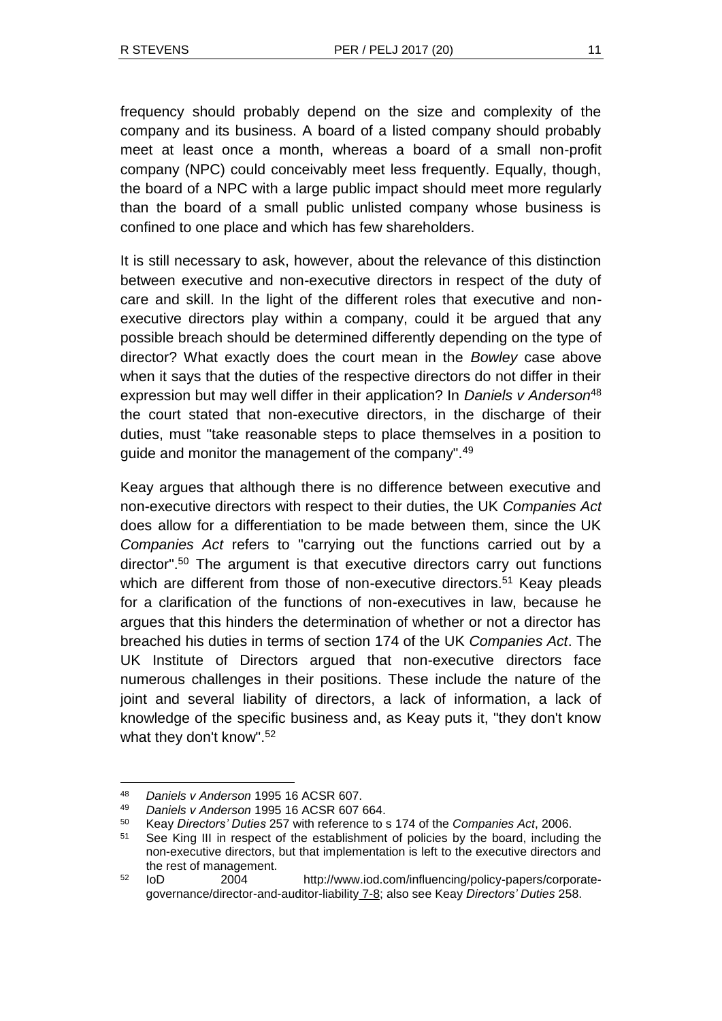frequency should probably depend on the size and complexity of the company and its business. A board of a listed company should probably meet at least once a month, whereas a board of a small non-profit company (NPC) could conceivably meet less frequently. Equally, though, the board of a NPC with a large public impact should meet more regularly than the board of a small public unlisted company whose business is confined to one place and which has few shareholders.

It is still necessary to ask, however, about the relevance of this distinction between executive and non-executive directors in respect of the duty of care and skill. In the light of the different roles that executive and nonexecutive directors play within a company, could it be argued that any possible breach should be determined differently depending on the type of director? What exactly does the court mean in the *Bowley* case above when it says that the duties of the respective directors do not differ in their expression but may well differ in their application? In *Daniels v Anderson*<sup>48</sup> the court stated that non-executive directors, in the discharge of their duties, must "take reasonable steps to place themselves in a position to guide and monitor the management of the company".<sup>49</sup>

Keay argues that although there is no difference between executive and non-executive directors with respect to their duties, the UK *Companies Act* does allow for a differentiation to be made between them, since the UK *Companies Act* refers to "carrying out the functions carried out by a director".<sup>50</sup> The argument is that executive directors carry out functions which are different from those of non-executive directors.<sup>51</sup> Keay pleads for a clarification of the functions of non-executives in law, because he argues that this hinders the determination of whether or not a director has breached his duties in terms of section 174 of the UK *Companies Act*. The UK Institute of Directors argued that non-executive directors face numerous challenges in their positions. These include the nature of the joint and several liability of directors, a lack of information, a lack of knowledge of the specific business and, as Keay puts it, "they don't know what they don't know".<sup>52</sup>

<sup>48</sup> *Daniels v Anderson* 1995 16 ACSR 607.

<sup>49</sup> *Daniels v Anderson* 1995 16 ACSR 607 664.

<sup>50</sup> Keay *Directors' Duties* 257 with reference to s 174 of the *Companies Act*, 2006.

<sup>51</sup> See King III in respect of the establishment of policies by the board, including the non-executive directors, but that implementation is left to the executive directors and the rest of management.

<sup>52</sup> IoD 2004 http://www.iod.com/influencing/policy-papers/corporategovernance/director-and-auditor-liability 7-8; also see Keay *Directors' Duties* 258.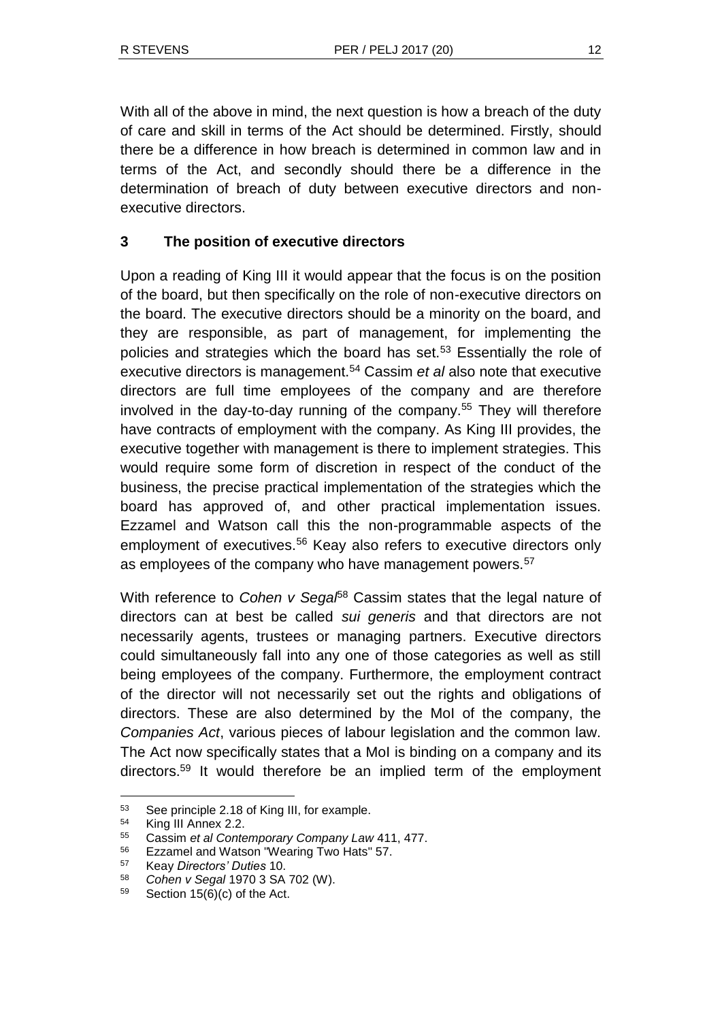With all of the above in mind, the next question is how a breach of the duty of care and skill in terms of the Act should be determined. Firstly, should there be a difference in how breach is determined in common law and in terms of the Act, and secondly should there be a difference in the determination of breach of duty between executive directors and nonexecutive directors.

# **3 The position of executive directors**

Upon a reading of King III it would appear that the focus is on the position of the board, but then specifically on the role of non-executive directors on the board. The executive directors should be a minority on the board, and they are responsible, as part of management, for implementing the policies and strategies which the board has set.<sup>53</sup> Essentially the role of executive directors is management.<sup>54</sup> Cassim *et al* also note that executive directors are full time employees of the company and are therefore involved in the day-to-day running of the company.<sup>55</sup> They will therefore have contracts of employment with the company. As King III provides, the executive together with management is there to implement strategies. This would require some form of discretion in respect of the conduct of the business, the precise practical implementation of the strategies which the board has approved of, and other practical implementation issues. Ezzamel and Watson call this the non-programmable aspects of the employment of executives.<sup>56</sup> Keay also refers to executive directors only as employees of the company who have management powers.<sup>57</sup>

With reference to *Cohen v Segal*<sup>58</sup> Cassim states that the legal nature of directors can at best be called *sui generis* and that directors are not necessarily agents, trustees or managing partners. Executive directors could simultaneously fall into any one of those categories as well as still being employees of the company. Furthermore, the employment contract of the director will not necessarily set out the rights and obligations of directors. These are also determined by the MoI of the company, the *Companies Act*, various pieces of labour legislation and the common law. The Act now specifically states that a MoI is binding on a company and its directors.<sup>59</sup> It would therefore be an implied term of the employment

<sup>53</sup> See principle 2.18 of King III, for example.

<sup>54</sup> King III Annex 2.2.

<sup>55</sup> Cassim *et al Contemporary Company Law* 411, 477.

<sup>56</sup> Ezzamel and Watson "Wearing Two Hats" 57.

<sup>57</sup> Keay *Directors' Duties* 10.

<sup>58</sup> *Cohen v Segal* 1970 3 SA 702 (W).

 $59$  Section 15(6)(c) of the Act.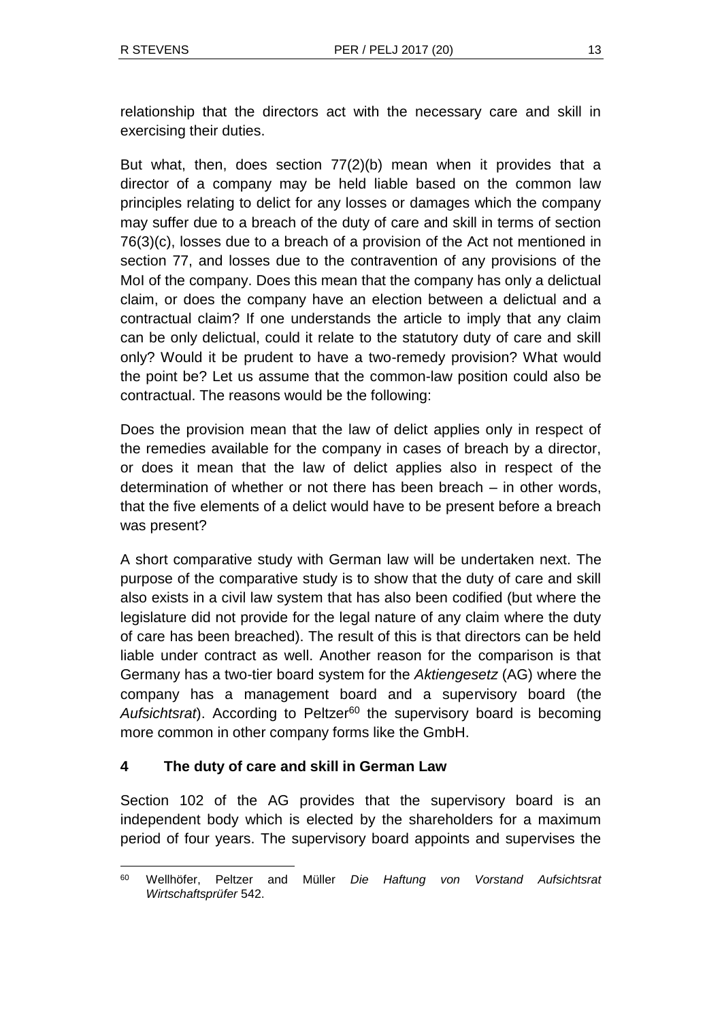relationship that the directors act with the necessary care and skill in exercising their duties.

But what, then, does section 77(2)(b) mean when it provides that a director of a company may be held liable based on the common law principles relating to delict for any losses or damages which the company may suffer due to a breach of the duty of care and skill in terms of section 76(3)(c), losses due to a breach of a provision of the Act not mentioned in section 77, and losses due to the contravention of any provisions of the MoI of the company. Does this mean that the company has only a delictual claim, or does the company have an election between a delictual and a contractual claim? If one understands the article to imply that any claim can be only delictual, could it relate to the statutory duty of care and skill only? Would it be prudent to have a two-remedy provision? What would the point be? Let us assume that the common-law position could also be contractual. The reasons would be the following:

Does the provision mean that the law of delict applies only in respect of the remedies available for the company in cases of breach by a director, or does it mean that the law of delict applies also in respect of the determination of whether or not there has been breach – in other words, that the five elements of a delict would have to be present before a breach was present?

A short comparative study with German law will be undertaken next. The purpose of the comparative study is to show that the duty of care and skill also exists in a civil law system that has also been codified (but where the legislature did not provide for the legal nature of any claim where the duty of care has been breached). The result of this is that directors can be held liable under contract as well. Another reason for the comparison is that Germany has a two-tier board system for the *Aktiengesetz* (AG) where the company has a management board and a supervisory board (the Aufsichtsrat). According to Peltzer<sup>60</sup> the supervisory board is becoming more common in other company forms like the GmbH.

# **4 The duty of care and skill in German Law**

Section 102 of the AG provides that the supervisory board is an independent body which is elected by the shareholders for a maximum period of four years. The supervisory board appoints and supervises the

l <sup>60</sup> Wellhöfer, Peltzer and Müller *Die Haftung von Vorstand Aufsichtsrat Wirtschaftsprüfer* 542.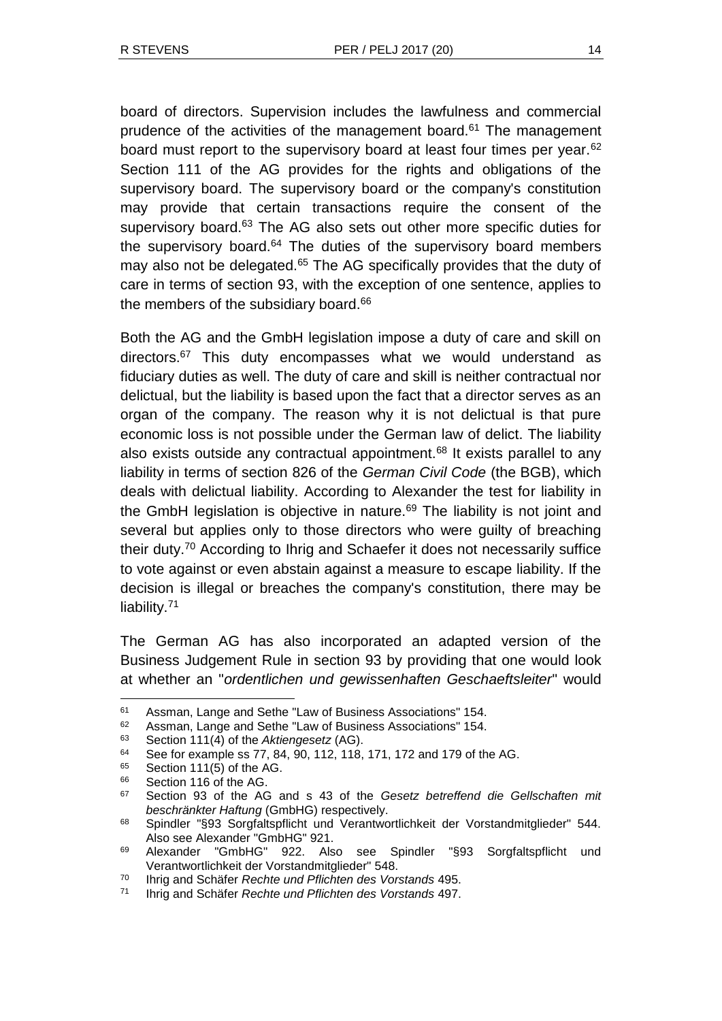board of directors. Supervision includes the lawfulness and commercial prudence of the activities of the management board.<sup>61</sup> The management board must report to the supervisory board at least four times per year.<sup>62</sup> Section 111 of the AG provides for the rights and obligations of the supervisory board. The supervisory board or the company's constitution may provide that certain transactions require the consent of the supervisory board.<sup>63</sup> The AG also sets out other more specific duties for the supervisory board. $64$  The duties of the supervisory board members may also not be delegated.<sup>65</sup> The AG specifically provides that the duty of care in terms of section 93, with the exception of one sentence, applies to the members of the subsidiary board.<sup>66</sup>

Both the AG and the GmbH legislation impose a duty of care and skill on directors.<sup>67</sup> This duty encompasses what we would understand as fiduciary duties as well. The duty of care and skill is neither contractual nor delictual, but the liability is based upon the fact that a director serves as an organ of the company. The reason why it is not delictual is that pure economic loss is not possible under the German law of delict. The liability also exists outside any contractual appointment.<sup>68</sup> It exists parallel to any liability in terms of section 826 of the *German Civil Code* (the BGB), which deals with delictual liability. According to Alexander the test for liability in the GmbH legislation is objective in nature.<sup>69</sup> The liability is not joint and several but applies only to those directors who were guilty of breaching their duty.<sup>70</sup> According to Ihrig and Schaefer it does not necessarily suffice to vote against or even abstain against a measure to escape liability. If the decision is illegal or breaches the company's constitution, there may be liability.<sup>71</sup>

The German AG has also incorporated an adapted version of the Business Judgement Rule in section 93 by providing that one would look at whether an "*ordentlichen und gewissenhaften Geschaeftsleiter*" would

<sup>61</sup> Assman, Lange and Sethe "Law of Business Associations" 154.

<sup>62</sup> Assman, Lange and Sethe "Law of Business Associations" 154.<br>63 Section 111(4) of the Aktionaesetz (AG)

<sup>63</sup> Section 111(4) of the *Aktiengesetz* (AG).

See for example ss 77, 84, 90, 112, 118, 171, 172 and 179 of the AG.

 $^{65}$  Section 111(5) of the AG.

 $^{66}$  Section 116 of the AG.<br> $^{67}$  Section 03 of the AC

<sup>67</sup> Section 93 of the AG and s 43 of the *Gesetz betreffend die Gellschaften mit beschränkter Haftung* (GmbHG) respectively.

<sup>68</sup> Spindler "§93 Sorgfaltspflicht und Verantwortlichkeit der Vorstandmitglieder" 544. Also see Alexander "GmbHG" 921.

<sup>69</sup> Alexander "GmbHG" 922. Also see Spindler "§93 Sorgfaltspflicht und Verantwortlichkeit der Vorstandmitglieder" 548.

<sup>70</sup> Ihrig and Schäfer *Rechte und Pflichten des Vorstands* 495.

<sup>71</sup> Ihrig and Schäfer *Rechte und Pflichten des Vorstands* 497.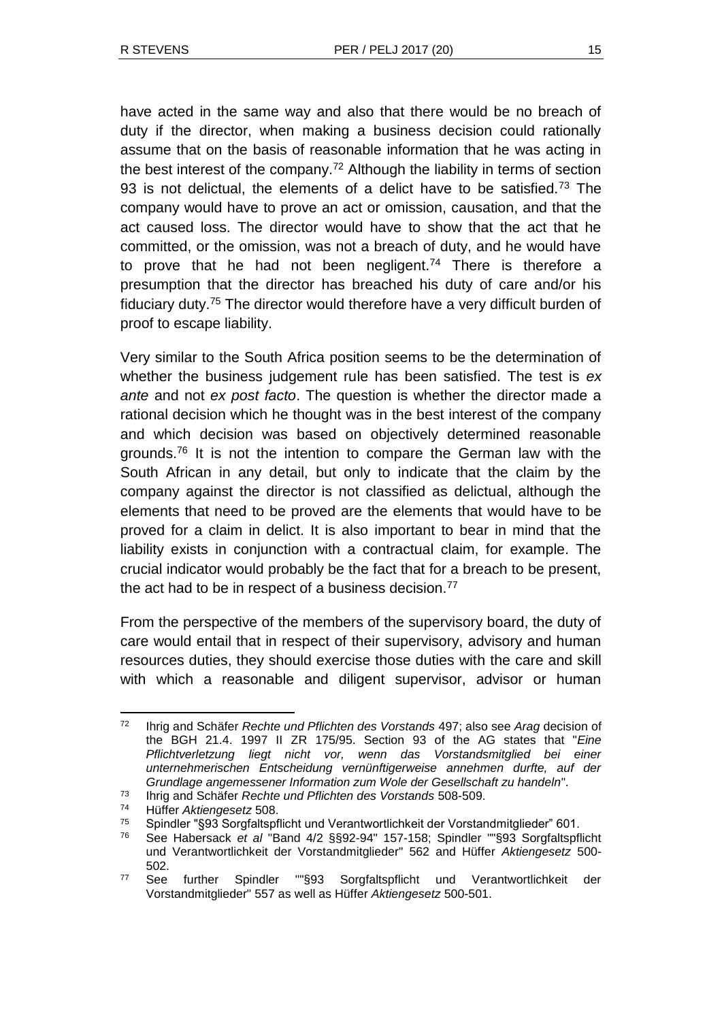have acted in the same way and also that there would be no breach of duty if the director, when making a business decision could rationally assume that on the basis of reasonable information that he was acting in the best interest of the company.<sup>72</sup> Although the liability in terms of section 93 is not delictual, the elements of a delict have to be satisfied.<sup>73</sup> The company would have to prove an act or omission, causation, and that the act caused loss. The director would have to show that the act that he committed, or the omission, was not a breach of duty, and he would have to prove that he had not been negligent.<sup>74</sup> There is therefore a presumption that the director has breached his duty of care and/or his fiduciary duty.<sup>75</sup> The director would therefore have a very difficult burden of proof to escape liability.

Very similar to the South Africa position seems to be the determination of whether the business judgement rule has been satisfied. The test is *ex ante* and not *ex post facto*. The question is whether the director made a rational decision which he thought was in the best interest of the company and which decision was based on objectively determined reasonable grounds.<sup>76</sup> It is not the intention to compare the German law with the South African in any detail, but only to indicate that the claim by the company against the director is not classified as delictual, although the elements that need to be proved are the elements that would have to be proved for a claim in delict. It is also important to bear in mind that the liability exists in conjunction with a contractual claim, for example. The crucial indicator would probably be the fact that for a breach to be present, the act had to be in respect of a business decision.<sup>77</sup>

From the perspective of the members of the supervisory board, the duty of care would entail that in respect of their supervisory, advisory and human resources duties, they should exercise those duties with the care and skill with which a reasonable and diligent supervisor, advisor or human

l <sup>72</sup> Ihrig and Schäfer *Rechte und Pflichten des Vorstands* 497; also see *Arag* decision of the BGH 21.4. 1997 II ZR 175/95. Section 93 of the AG states that "*Eine Pflichtverletzung liegt nicht vor, wenn das Vorstandsmitglied bei einer unternehmerischen Entscheidung vernünftigerweise annehmen durfte, auf der Grundlage angemessener Information zum Wole der Gesellschaft zu handeln*".

<sup>73</sup> Ihrig and Schäfer *Rechte und Pflichten des Vorstands* 508-509.

<sup>74</sup> Hüffer *Aktiengesetz* 508.

<sup>75</sup> Spindler "§93 Sorgfaltspflicht und Verantwortlichkeit der Vorstandmitglieder" 601.

<sup>76</sup> See Habersack *et al* "Band 4/2 §§92-94" 157-158; Spindler ""§93 Sorgfaltspflicht und Verantwortlichkeit der Vorstandmitglieder" 562 and Hüffer *Aktiengesetz* 500- 502.

<sup>77</sup> See further Spindler ""§93 Sorgfaltspflicht und Verantwortlichkeit der Vorstandmitglieder" 557 as well as Hüffer *Aktiengesetz* 500-501.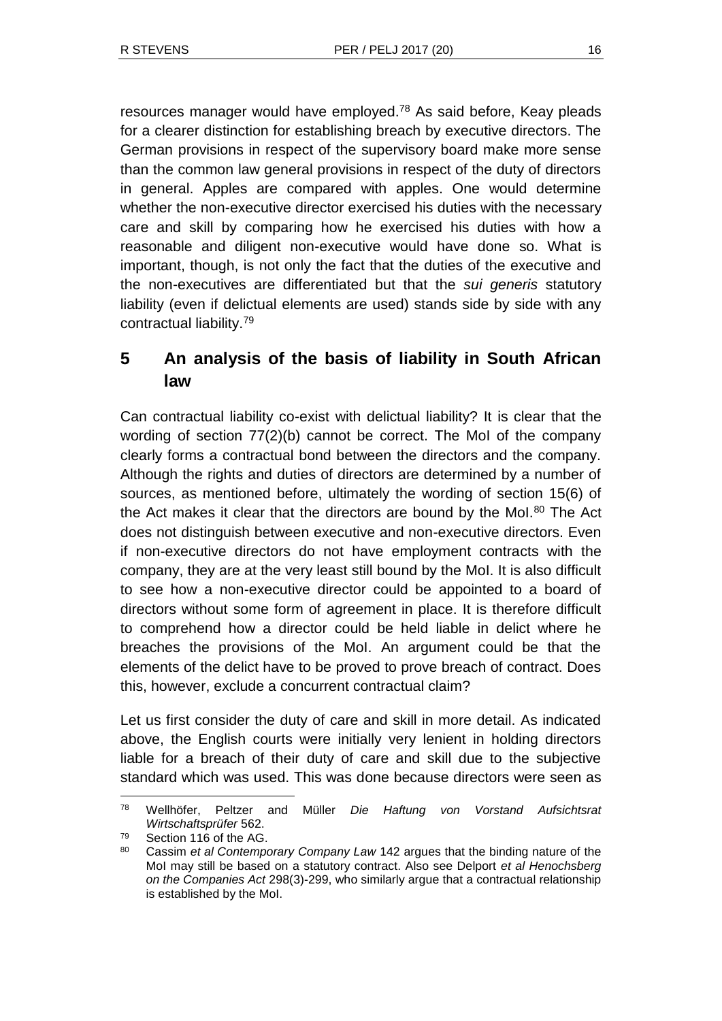resources manager would have employed.<sup>78</sup> As said before, Keay pleads for a clearer distinction for establishing breach by executive directors. The German provisions in respect of the supervisory board make more sense than the common law general provisions in respect of the duty of directors in general. Apples are compared with apples. One would determine whether the non-executive director exercised his duties with the necessary care and skill by comparing how he exercised his duties with how a reasonable and diligent non-executive would have done so. What is important, though, is not only the fact that the duties of the executive and the non-executives are differentiated but that the *sui generis* statutory liability (even if delictual elements are used) stands side by side with any contractual liability.<sup>79</sup>

# **5 An analysis of the basis of liability in South African law**

Can contractual liability co-exist with delictual liability? It is clear that the wording of section 77(2)(b) cannot be correct. The MoI of the company clearly forms a contractual bond between the directors and the company. Although the rights and duties of directors are determined by a number of sources, as mentioned before, ultimately the wording of section 15(6) of the Act makes it clear that the directors are bound by the Mol.<sup>80</sup> The Act does not distinguish between executive and non-executive directors. Even if non-executive directors do not have employment contracts with the company, they are at the very least still bound by the MoI. It is also difficult to see how a non-executive director could be appointed to a board of directors without some form of agreement in place. It is therefore difficult to comprehend how a director could be held liable in delict where he breaches the provisions of the MoI. An argument could be that the elements of the delict have to be proved to prove breach of contract. Does this, however, exclude a concurrent contractual claim?

Let us first consider the duty of care and skill in more detail. As indicated above, the English courts were initially very lenient in holding directors liable for a breach of their duty of care and skill due to the subjective standard which was used. This was done because directors were seen as

l <sup>78</sup> Wellhöfer, Peltzer and Müller *Die Haftung von Vorstand Aufsichtsrat Wirtschaftsprüfer* 562.

<sup>79</sup> Section 116 of the AG.

<sup>80</sup> Cassim *et al Contemporary Company Law* 142 argues that the binding nature of the MoI may still be based on a statutory contract. Also see Delport *et al Henochsberg on the Companies Act* 298(3)-299, who similarly argue that a contractual relationship is established by the MoI.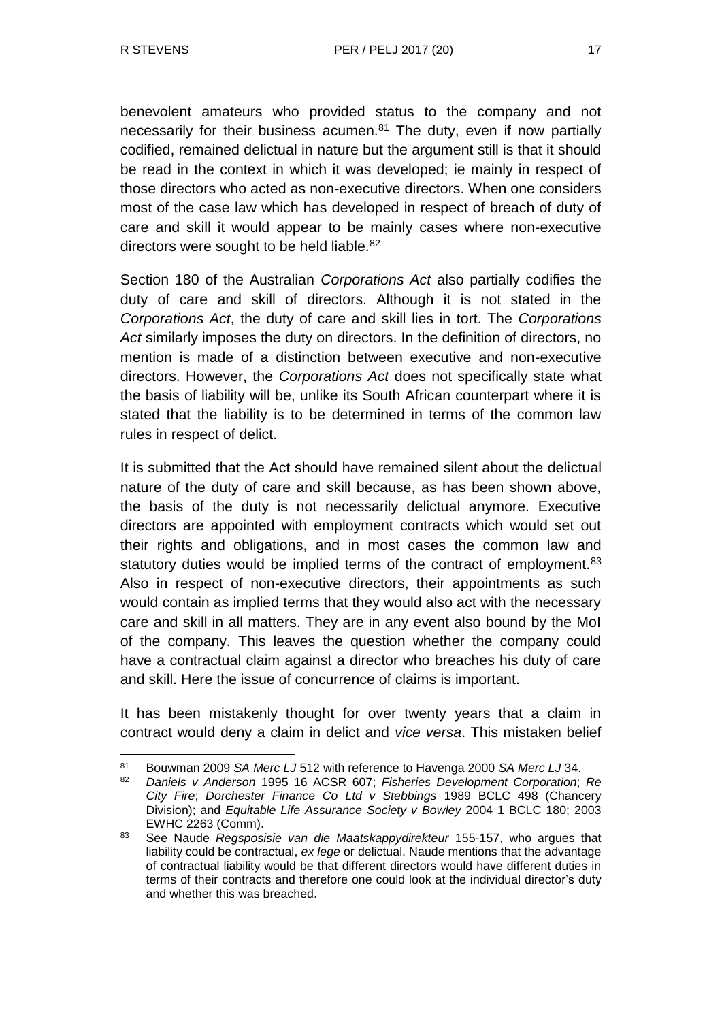l

benevolent amateurs who provided status to the company and not necessarily for their business acumen. $81$  The duty, even if now partially codified, remained delictual in nature but the argument still is that it should be read in the context in which it was developed; ie mainly in respect of those directors who acted as non-executive directors. When one considers most of the case law which has developed in respect of breach of duty of care and skill it would appear to be mainly cases where non-executive directors were sought to be held liable. $82$ 

Section 180 of the Australian *Corporations Act* also partially codifies the duty of care and skill of directors. Although it is not stated in the *Corporations Act*, the duty of care and skill lies in tort. The *Corporations Act* similarly imposes the duty on directors. In the definition of directors, no mention is made of a distinction between executive and non-executive directors. However, the *Corporations Act* does not specifically state what the basis of liability will be, unlike its South African counterpart where it is stated that the liability is to be determined in terms of the common law rules in respect of delict.

It is submitted that the Act should have remained silent about the delictual nature of the duty of care and skill because, as has been shown above, the basis of the duty is not necessarily delictual anymore. Executive directors are appointed with employment contracts which would set out their rights and obligations, and in most cases the common law and statutory duties would be implied terms of the contract of employment.<sup>83</sup> Also in respect of non-executive directors, their appointments as such would contain as implied terms that they would also act with the necessary care and skill in all matters. They are in any event also bound by the MoI of the company. This leaves the question whether the company could have a contractual claim against a director who breaches his duty of care and skill. Here the issue of concurrence of claims is important.

It has been mistakenly thought for over twenty years that a claim in contract would deny a claim in delict and *vice versa*. This mistaken belief

<sup>81</sup> Bouwman 2009 *SA Merc LJ* 512 with reference to Havenga 2000 *SA Merc LJ* 34.

<sup>82</sup> *Daniels v Anderson* 1995 16 ACSR 607; *Fisheries Development Corporation*; *Re City Fire*; *Dorchester Finance Co Ltd v Stebbings* 1989 BCLC 498 (Chancery Division); and *Equitable Life Assurance Society v Bowley* 2004 1 BCLC 180; 2003 EWHC 2263 (Comm).

<sup>83</sup> See Naude *Regsposisie van die Maatskappydirekteur* 155-157, who argues that liability could be contractual, *ex lege* or delictual. Naude mentions that the advantage of contractual liability would be that different directors would have different duties in terms of their contracts and therefore one could look at the individual director's duty and whether this was breached.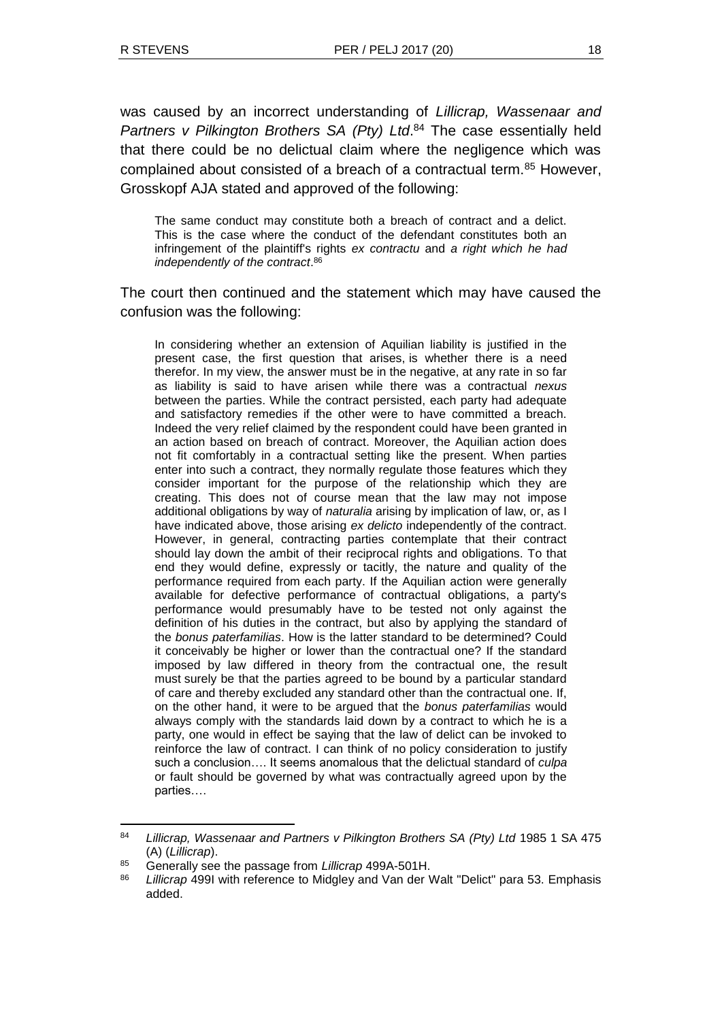was caused by an incorrect understanding of *Lillicrap, Wassenaar and*  Partners v Pilkington Brothers SA (Pty) Ltd.<sup>84</sup> The case essentially held that there could be no delictual claim where the negligence which was complained about consisted of a breach of a contractual term.<sup>85</sup> However, Grosskopf AJA stated and approved of the following:

The same conduct may constitute both a breach of contract and a delict. This is the case where the conduct of the defendant constitutes both an infringement of the plaintiff's rights *ex contractu* and *a right which he had independently of the contract*. 86

The court then continued and the statement which may have caused the confusion was the following:

In considering whether an extension of Aquilian liability is justified in the present case, the first question that arises, is whether there is a need therefor. In my view, the answer must be in the negative, at any rate in so far as liability is said to have arisen while there was a contractual *nexus* between the parties. While the contract persisted, each party had adequate and satisfactory remedies if the other were to have committed a breach. Indeed the very relief claimed by the respondent could have been granted in an action based on breach of contract. Moreover, the Aquilian action does not fit comfortably in a contractual setting like the present. When parties enter into such a contract, they normally regulate those features which they consider important for the purpose of the relationship which they are creating. This does not of course mean that the law may not impose additional obligations by way of *naturalia* arising by implication of law, or, as I have indicated above, those arising *ex delicto* independently of the contract. However, in general, contracting parties contemplate that their contract should lay down the ambit of their reciprocal rights and obligations. To that end they would define, expressly or tacitly, the nature and quality of the performance required from each party. If the Aquilian action were generally available for defective performance of contractual obligations, a party's performance would presumably have to be tested not only against the definition of his duties in the contract, but also by applying the standard of the *bonus paterfamilias*. How is the latter standard to be determined? Could it conceivably be higher or lower than the contractual one? If the standard imposed by law differed in theory from the contractual one, the result must surely be that the parties agreed to be bound by a particular standard of care and thereby excluded any standard other than the contractual one. If, on the other hand, it were to be argued that the *bonus paterfamilias* would always comply with the standards laid down by a contract to which he is a party, one would in effect be saying that the law of delict can be invoked to reinforce the law of contract. I can think of no policy consideration to justify such a conclusion…. It seems anomalous that the delictual standard of *culpa* or fault should be governed by what was contractually agreed upon by the parties….

<sup>84</sup> *Lillicrap, Wassenaar and Partners v Pilkington Brothers SA (Pty) Ltd* 1985 1 SA 475 (A) (*Lillicrap*).

<sup>85</sup> Generally see the passage from *Lillicrap* 499A-501H.

<sup>86</sup> *Lillicrap* 499I with reference to Midgley and Van der Walt "Delict" para 53. Emphasis added.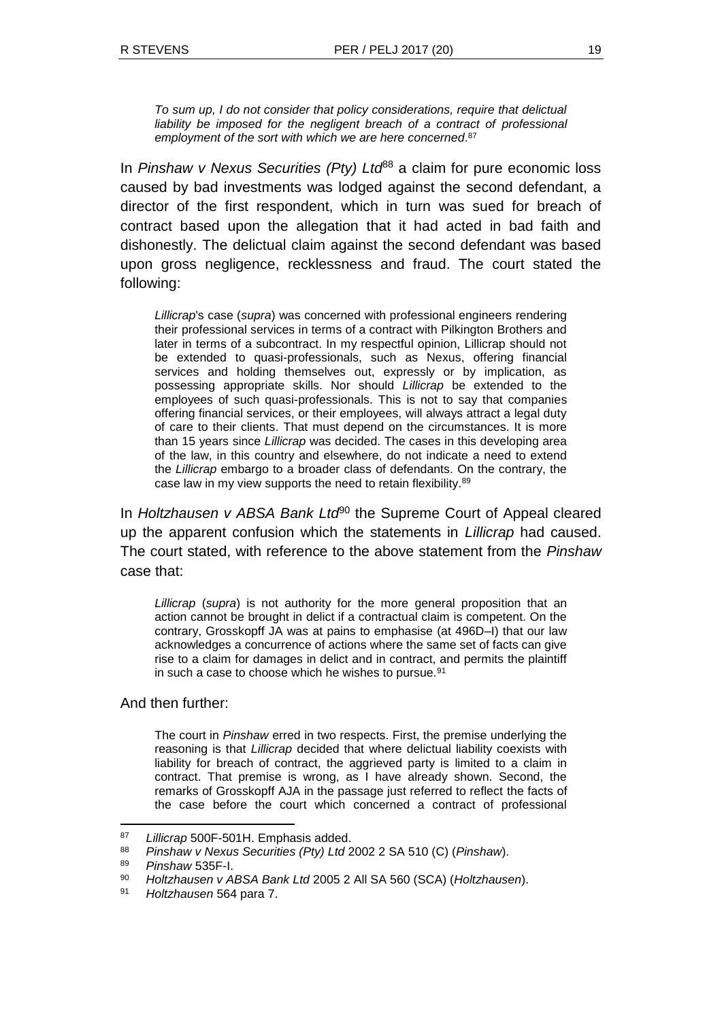*To sum up, I do not consider that policy considerations, require that delictual liability be imposed for the negligent breach of a contract of professional employment of the sort with which we are here concerned*. 87

In *Pinshaw v Nexus Securities (Pty) Ltd*<sup>88</sup> a claim for pure economic loss caused by bad investments was lodged against the second defendant, a director of the first respondent, which in turn was sued for breach of contract based upon the allegation that it had acted in bad faith and dishonestly. The delictual claim against the second defendant was based upon gross negligence, recklessness and fraud. The court stated the following:

*Lillicrap*'s case (*supra*) was concerned with professional engineers rendering their professional services in terms of a contract with Pilkington Brothers and later in terms of a subcontract. In my respectful opinion, Lillicrap should not be extended to quasi-professionals, such as Nexus, offering financial services and holding themselves out, expressly or by implication, as possessing appropriate skills. Nor should *Lillicrap* be extended to the employees of such quasi-professionals. This is not to say that companies offering financial services, or their employees, will always attract a legal duty of care to their clients. That must depend on the circumstances. It is more than 15 years since *Lillicrap* was decided. The cases in this developing area of the law, in this country and elsewhere, do not indicate a need to extend the *Lillicrap* embargo to a broader class of defendants. On the contrary, the case law in my view supports the need to retain flexibility.<sup>89</sup>

In *Holtzhausen v ABSA Bank Ltd*<sup>90</sup> the Supreme Court of Appeal cleared up the apparent confusion which the statements in *Lillicrap* had caused. The court stated, with reference to the above statement from the *Pinshaw* case that:

*Lillicrap* (*supra*) is not authority for the more general proposition that an action cannot be brought in delict if a contractual claim is competent. On the contrary, Grosskopff JA was at pains to emphasise (at 496D–I) that our law acknowledges a concurrence of actions where the same set of facts can give rise to a claim for damages in delict and in contract, and permits the plaintiff in such a case to choose which he wishes to pursue.<sup>91</sup>

#### And then further:

The court in *Pinshaw* erred in two respects. First, the premise underlying the reasoning is that *Lillicrap* decided that where delictual liability coexists with liability for breach of contract, the aggrieved party is limited to a claim in contract. That premise is wrong, as I have already shown. Second, the remarks of Grosskopff AJA in the passage just referred to reflect the facts of the case before the court which concerned a contract of professional

<sup>87</sup> *Lillicrap* 500F-501H. Emphasis added.

<sup>88</sup> *Pinshaw v Nexus Securities (Pty) Ltd* 2002 2 SA 510 (C) (*Pinshaw*).

<sup>89</sup> *Pinshaw* 535F-I.

<sup>90</sup> *Holtzhausen v ABSA Bank Ltd* 2005 2 All SA 560 (SCA) (*Holtzhausen*).

<sup>91</sup> *Holtzhausen* 564 para 7.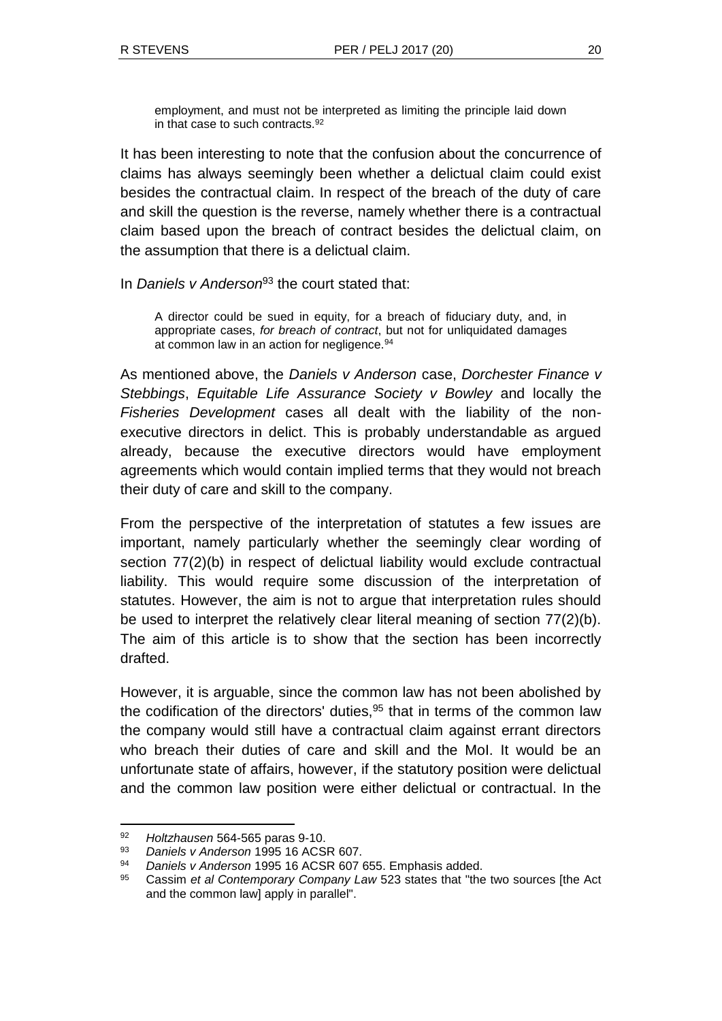employment, and must not be interpreted as limiting the principle laid down in that case to such contracts.<sup>92</sup>

It has been interesting to note that the confusion about the concurrence of claims has always seemingly been whether a delictual claim could exist besides the contractual claim. In respect of the breach of the duty of care and skill the question is the reverse, namely whether there is a contractual claim based upon the breach of contract besides the delictual claim, on the assumption that there is a delictual claim.

In *Daniels v Anderson*<sup>93</sup> the court stated that:

A director could be sued in equity, for a breach of fiduciary duty, and, in appropriate cases, *for breach of contract*, but not for unliquidated damages at common law in an action for negligence.<sup>94</sup>

As mentioned above, the *Daniels v Anderson* case, *Dorchester Finance v Stebbings*, *Equitable Life Assurance Society v Bowley* and locally the *Fisheries Development* cases all dealt with the liability of the nonexecutive directors in delict. This is probably understandable as argued already, because the executive directors would have employment agreements which would contain implied terms that they would not breach their duty of care and skill to the company.

From the perspective of the interpretation of statutes a few issues are important, namely particularly whether the seemingly clear wording of section 77(2)(b) in respect of delictual liability would exclude contractual liability. This would require some discussion of the interpretation of statutes. However, the aim is not to argue that interpretation rules should be used to interpret the relatively clear literal meaning of section 77(2)(b). The aim of this article is to show that the section has been incorrectly drafted.

However, it is arguable, since the common law has not been abolished by the codification of the directors' duties, $95$  that in terms of the common law the company would still have a contractual claim against errant directors who breach their duties of care and skill and the MoI. It would be an unfortunate state of affairs, however, if the statutory position were delictual and the common law position were either delictual or contractual. In the

<sup>92</sup> *Holtzhausen* 564-565 paras 9-10.

<sup>93</sup> *Daniels v Anderson* 1995 16 ACSR 607.

<sup>94</sup> *Daniels v Anderson* 1995 16 ACSR 607 655. Emphasis added.

<sup>95</sup> Cassim *et al Contemporary Company Law* 523 states that "the two sources [the Act and the common law] apply in parallel".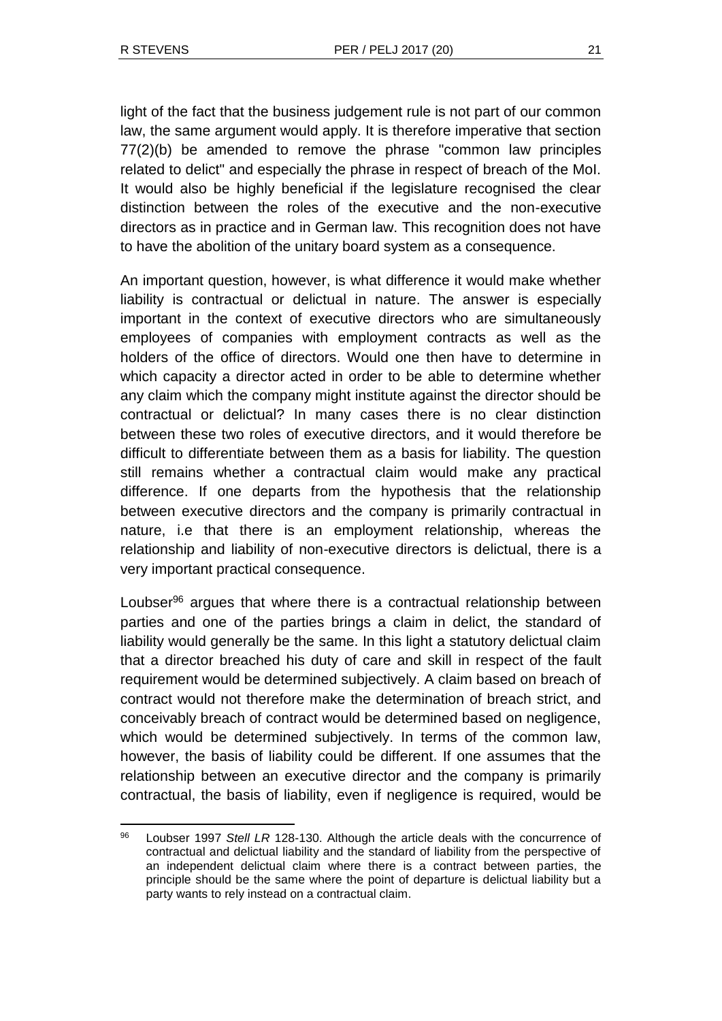l

light of the fact that the business judgement rule is not part of our common law, the same argument would apply. It is therefore imperative that section 77(2)(b) be amended to remove the phrase "common law principles related to delict" and especially the phrase in respect of breach of the MoI. It would also be highly beneficial if the legislature recognised the clear distinction between the roles of the executive and the non-executive directors as in practice and in German law. This recognition does not have to have the abolition of the unitary board system as a consequence.

An important question, however, is what difference it would make whether liability is contractual or delictual in nature. The answer is especially important in the context of executive directors who are simultaneously employees of companies with employment contracts as well as the holders of the office of directors. Would one then have to determine in which capacity a director acted in order to be able to determine whether any claim which the company might institute against the director should be contractual or delictual? In many cases there is no clear distinction between these two roles of executive directors, and it would therefore be difficult to differentiate between them as a basis for liability. The question still remains whether a contractual claim would make any practical difference. If one departs from the hypothesis that the relationship between executive directors and the company is primarily contractual in nature, i.e that there is an employment relationship, whereas the relationship and liability of non-executive directors is delictual, there is a very important practical consequence.

Loubser<sup>96</sup> argues that where there is a contractual relationship between parties and one of the parties brings a claim in delict, the standard of liability would generally be the same. In this light a statutory delictual claim that a director breached his duty of care and skill in respect of the fault requirement would be determined subjectively. A claim based on breach of contract would not therefore make the determination of breach strict, and conceivably breach of contract would be determined based on negligence, which would be determined subjectively. In terms of the common law, however, the basis of liability could be different. If one assumes that the relationship between an executive director and the company is primarily contractual, the basis of liability, even if negligence is required, would be

<sup>96</sup> Loubser 1997 *Stell LR* 128-130. Although the article deals with the concurrence of contractual and delictual liability and the standard of liability from the perspective of an independent delictual claim where there is a contract between parties, the principle should be the same where the point of departure is delictual liability but a party wants to rely instead on a contractual claim.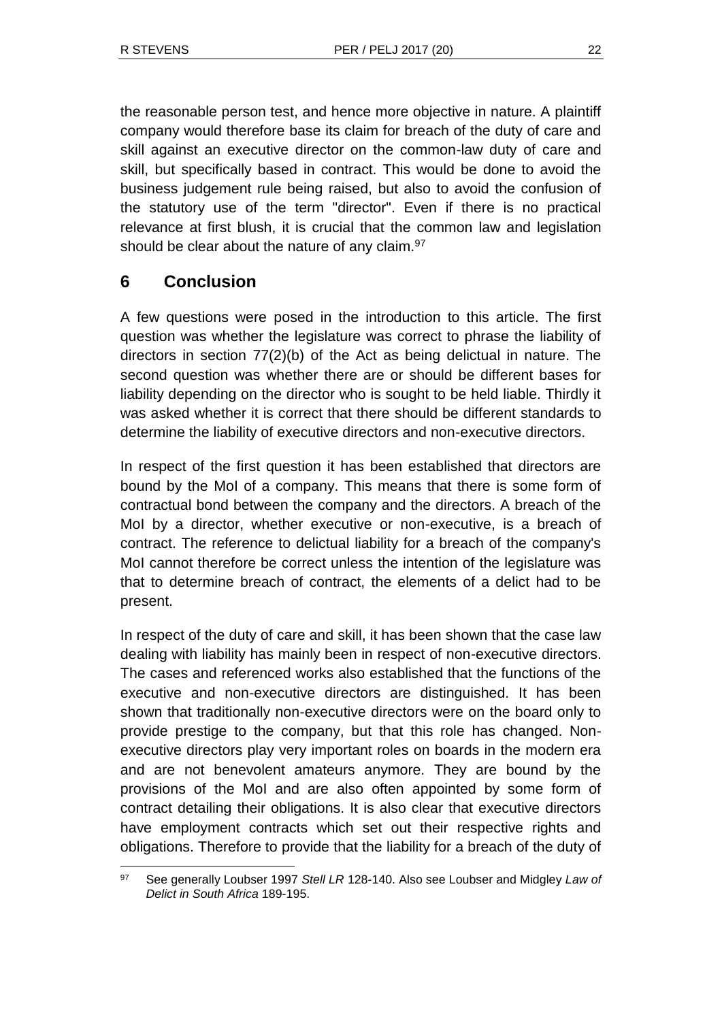the reasonable person test, and hence more objective in nature. A plaintiff company would therefore base its claim for breach of the duty of care and skill against an executive director on the common-law duty of care and skill, but specifically based in contract. This would be done to avoid the business judgement rule being raised, but also to avoid the confusion of the statutory use of the term "director". Even if there is no practical relevance at first blush, it is crucial that the common law and legislation should be clear about the nature of any claim.<sup>97</sup>

# **6 Conclusion**

l

A few questions were posed in the introduction to this article. The first question was whether the legislature was correct to phrase the liability of directors in section  $77(2)(b)$  of the Act as being delictual in nature. The second question was whether there are or should be different bases for liability depending on the director who is sought to be held liable. Thirdly it was asked whether it is correct that there should be different standards to determine the liability of executive directors and non-executive directors.

In respect of the first question it has been established that directors are bound by the MoI of a company. This means that there is some form of contractual bond between the company and the directors. A breach of the MoI by a director, whether executive or non-executive, is a breach of contract. The reference to delictual liability for a breach of the company's MoI cannot therefore be correct unless the intention of the legislature was that to determine breach of contract, the elements of a delict had to be present.

In respect of the duty of care and skill, it has been shown that the case law dealing with liability has mainly been in respect of non-executive directors. The cases and referenced works also established that the functions of the executive and non-executive directors are distinguished. It has been shown that traditionally non-executive directors were on the board only to provide prestige to the company, but that this role has changed. Nonexecutive directors play very important roles on boards in the modern era and are not benevolent amateurs anymore. They are bound by the provisions of the MoI and are also often appointed by some form of contract detailing their obligations. It is also clear that executive directors have employment contracts which set out their respective rights and obligations. Therefore to provide that the liability for a breach of the duty of

<sup>97</sup> See generally Loubser 1997 *Stell LR* 128-140. Also see Loubser and Midgley *Law of Delict in South Africa* 189-195.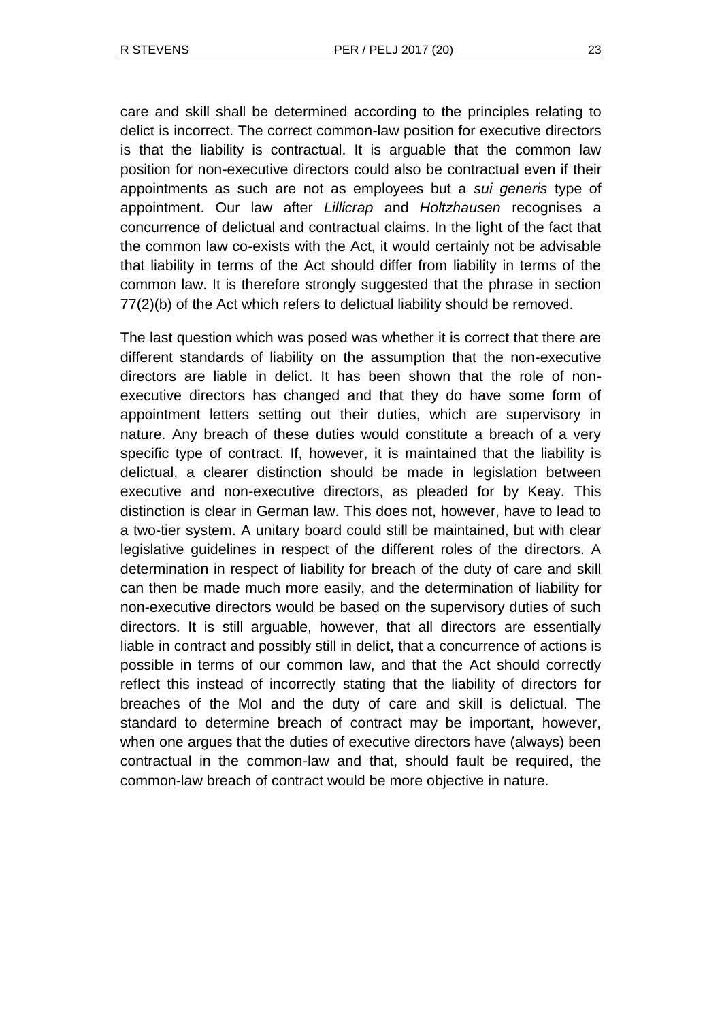care and skill shall be determined according to the principles relating to delict is incorrect. The correct common-law position for executive directors is that the liability is contractual. It is arguable that the common law position for non-executive directors could also be contractual even if their appointments as such are not as employees but a *sui generis* type of appointment. Our law after *Lillicrap* and *Holtzhausen* recognises a concurrence of delictual and contractual claims. In the light of the fact that the common law co-exists with the Act, it would certainly not be advisable that liability in terms of the Act should differ from liability in terms of the common law. It is therefore strongly suggested that the phrase in section 77(2)(b) of the Act which refers to delictual liability should be removed.

The last question which was posed was whether it is correct that there are different standards of liability on the assumption that the non-executive directors are liable in delict. It has been shown that the role of nonexecutive directors has changed and that they do have some form of appointment letters setting out their duties, which are supervisory in nature. Any breach of these duties would constitute a breach of a very specific type of contract. If, however, it is maintained that the liability is delictual, a clearer distinction should be made in legislation between executive and non-executive directors, as pleaded for by Keay. This distinction is clear in German law. This does not, however, have to lead to a two-tier system. A unitary board could still be maintained, but with clear legislative guidelines in respect of the different roles of the directors. A determination in respect of liability for breach of the duty of care and skill can then be made much more easily, and the determination of liability for non-executive directors would be based on the supervisory duties of such directors. It is still arguable, however, that all directors are essentially liable in contract and possibly still in delict, that a concurrence of actions is possible in terms of our common law, and that the Act should correctly reflect this instead of incorrectly stating that the liability of directors for breaches of the MoI and the duty of care and skill is delictual. The standard to determine breach of contract may be important, however, when one argues that the duties of executive directors have (always) been contractual in the common-law and that, should fault be required, the common-law breach of contract would be more objective in nature.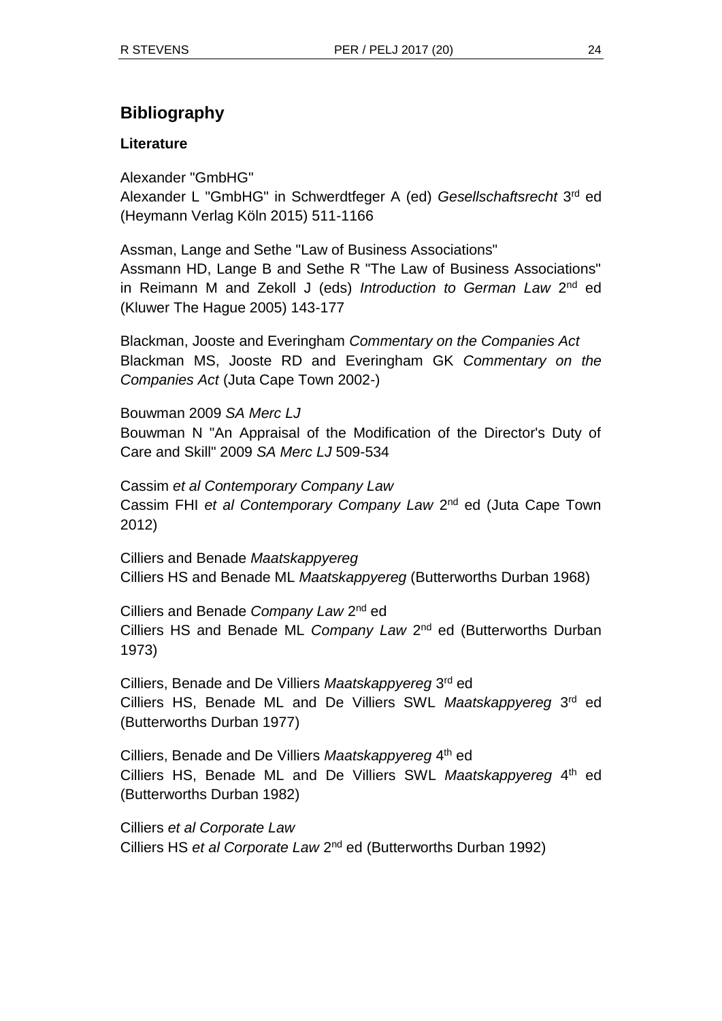# **Bibliography**

## **Literature**

Alexander "GmbHG"

Alexander L "GmbHG" in Schwerdtfeger A (ed) *Gesellschaftsrecht* 3 rd ed (Heymann Verlag Köln 2015) 511-1166

Assman, Lange and Sethe "Law of Business Associations" Assmann HD, Lange B and Sethe R "The Law of Business Associations" in Reimann M and Zekoll J (eds) *Introduction to German Law* 2<sup>nd</sup> ed (Kluwer The Hague 2005) 143-177

Blackman, Jooste and Everingham *Commentary on the Companies Act* Blackman MS, Jooste RD and Everingham GK *Commentary on the Companies Act* (Juta Cape Town 2002-)

Bouwman 2009 *SA Merc LJ* Bouwman N "An Appraisal of the Modification of the Director's Duty of Care and Skill" 2009 *SA Merc LJ* 509-534

Cassim *et al Contemporary Company Law* Cassim FHI et al Contemporary Company Law 2<sup>nd</sup> ed (Juta Cape Town 2012)

Cilliers and Benade *Maatskappyereg*  Cilliers HS and Benade ML *Maatskappyereg* (Butterworths Durban 1968)

Cilliers and Benade *Company Law* 2<sup>nd</sup> ed Cilliers HS and Benade ML Company Law 2<sup>nd</sup> ed (Butterworths Durban 1973)

Cilliers, Benade and De Villiers *Maatskappyereg* 3 rd ed Cilliers HS, Benade ML and De Villiers SWL *Maatskappyereg* 3 rd ed (Butterworths Durban 1977)

Cilliers, Benade and De Villiers Maatskappyereg 4<sup>th</sup> ed Cilliers HS, Benade ML and De Villiers SWL Maatskappyereg 4<sup>th</sup> ed (Butterworths Durban 1982)

Cilliers *et al Corporate Law* Cilliers HS et al Corporate Law 2<sup>nd</sup> ed (Butterworths Durban 1992)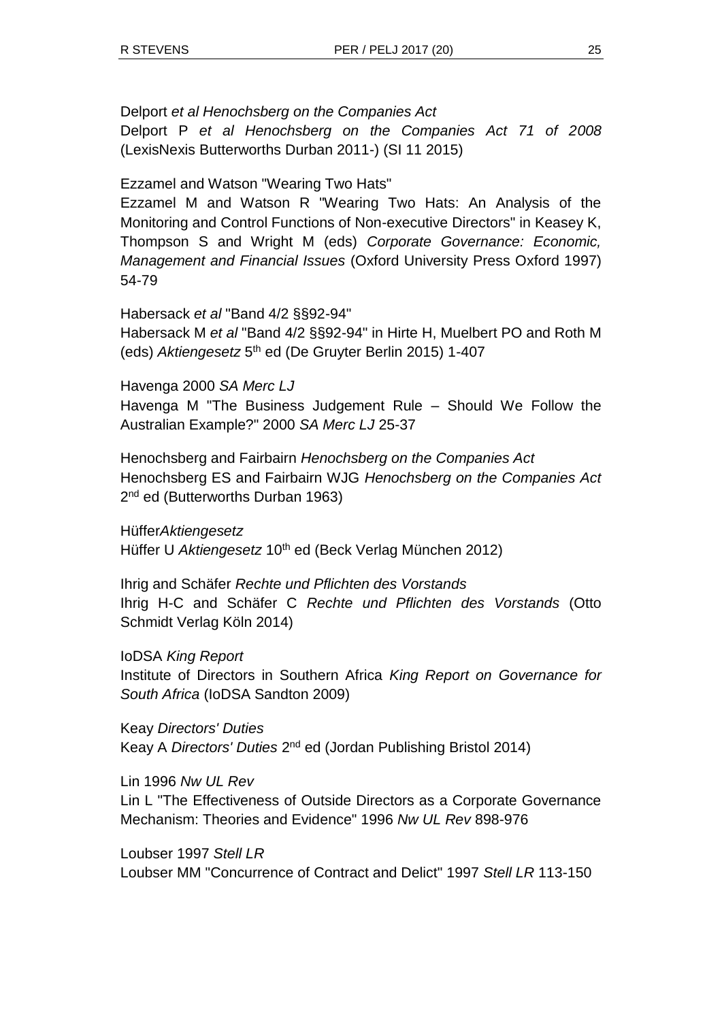Delport *et al Henochsberg on the Companies Act*

Delport P *et al Henochsberg on the Companies Act 71 of 2008* (LexisNexis Butterworths Durban 2011-) (SI 11 2015)

Ezzamel and Watson "Wearing Two Hats"

Ezzamel M and Watson R "Wearing Two Hats: An Analysis of the Monitoring and Control Functions of Non-executive Directors" in Keasey K, Thompson S and Wright M (eds) *Corporate Governance: Economic, Management and Financial Issues* (Oxford University Press Oxford 1997) 54-79

Habersack *et al* "Band 4/2 §§92-94" Habersack M *et al* "Band 4/2 §§92-94" in Hirte H, Muelbert PO and Roth M (eds) Aktiengesetz 5<sup>th</sup> ed (De Gruyter Berlin 2015) 1-407

Havenga 2000 *SA Merc LJ* Havenga M "The Business Judgement Rule – Should We Follow the Australian Example?" 2000 *SA Merc LJ* 25-37

Henochsberg and Fairbairn *Henochsberg on the Companies Act*  Henochsberg ES and Fairbairn WJG *Henochsberg on the Companies Act*  2<sup>nd</sup> ed (Butterworths Durban 1963)

Hüffer*Aktiengesetz* Hüffer U Aktiengesetz 10<sup>th</sup> ed (Beck Verlag München 2012)

Ihrig and Schäfer *Rechte und Pflichten des Vorstands* Ihrig H-C and Schäfer C *Rechte und Pflichten des Vorstands* (Otto Schmidt Verlag Köln 2014)

IoDSA *King Report* Institute of Directors in Southern Africa *King Report on Governance for South Africa* (IoDSA Sandton 2009)

Keay *Directors' Duties* Keay A *Directors' Duties* 2<sup>nd</sup> ed (Jordan Publishing Bristol 2014)

Lin 1996 *Nw UL Rev* Lin L "The Effectiveness of Outside Directors as a Corporate Governance Mechanism: Theories and Evidence" 1996 *Nw UL Rev* 898-976

Loubser 1997 *Stell LR* Loubser MM "Concurrence of Contract and Delict" 1997 *Stell LR* 113-150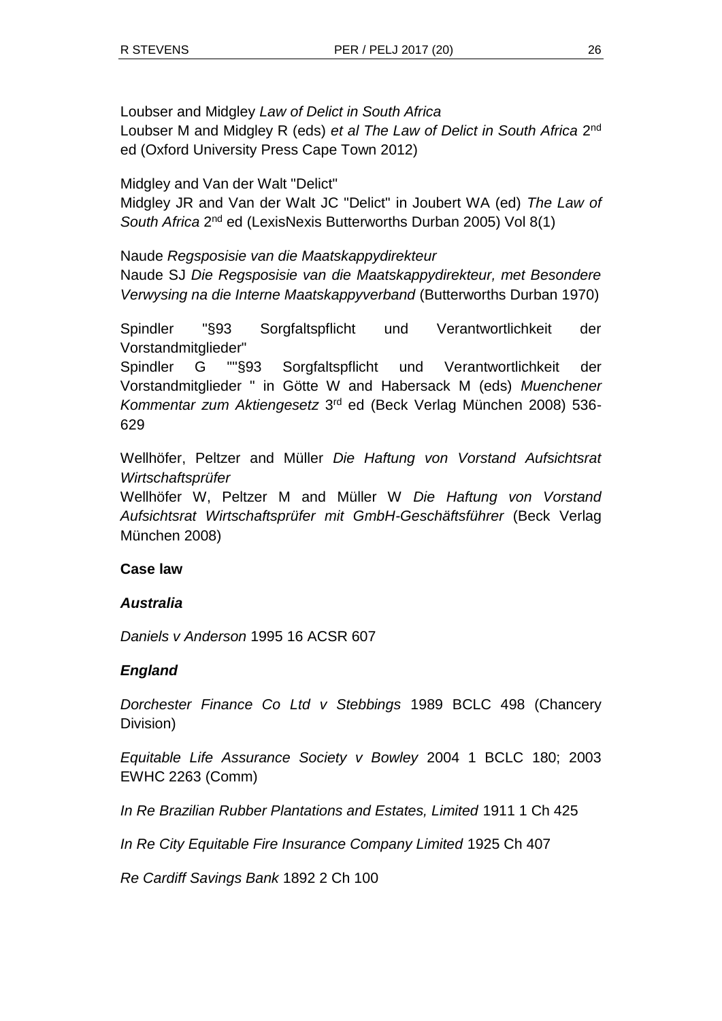Loubser and Midgley *Law of Delict in South Africa* Loubser M and Midgley R (eds) et al The Law of Delict in South Africa 2<sup>nd</sup> ed (Oxford University Press Cape Town 2012)

Midgley and Van der Walt "Delict"

Midgley JR and Van der Walt JC "Delict" in Joubert WA (ed) *The Law of*  South Africa 2<sup>nd</sup> ed (LexisNexis Butterworths Durban 2005) Vol 8(1)

Naude *Regsposisie van die Maatskappydirekteur* Naude SJ *Die Regsposisie van die Maatskappydirekteur, met Besondere Verwysing na die Interne Maatskappyverband* (Butterworths Durban 1970)

Spindler "§93 Sorgfaltspflicht und Verantwortlichkeit der Vorstandmitglieder"

Spindler G ""§93 Sorgfaltspflicht und Verantwortlichkeit der Vorstandmitglieder " in Götte W and Habersack M (eds) *Muenchener*  Kommentar zum Aktiengesetz 3<sup>rd</sup> ed (Beck Verlag München 2008) 536-629

Wellhöfer, Peltzer and Müller *Die Haftung von Vorstand Aufsichtsrat Wirtschaftsprüfer* 

Wellhöfer W, Peltzer M and Müller W *Die Haftung von Vorstand Aufsichtsrat Wirtschaftsprüfer mit GmbH-Geschäftsführer* (Beck Verlag München 2008)

# **Case law**

# *Australia*

*Daniels v Anderson* 1995 16 ACSR 607

# *England*

*Dorchester Finance Co Ltd v Stebbings* 1989 BCLC 498 (Chancery Division)

*Equitable Life Assurance Society v Bowley* 2004 1 BCLC 180; 2003 EWHC 2263 (Comm)

*In Re Brazilian Rubber Plantations and Estates, Limited* 1911 1 Ch 425

*In Re City Equitable Fire Insurance Company Limited* 1925 Ch 407

*Re Cardiff Savings Bank* 1892 2 Ch 100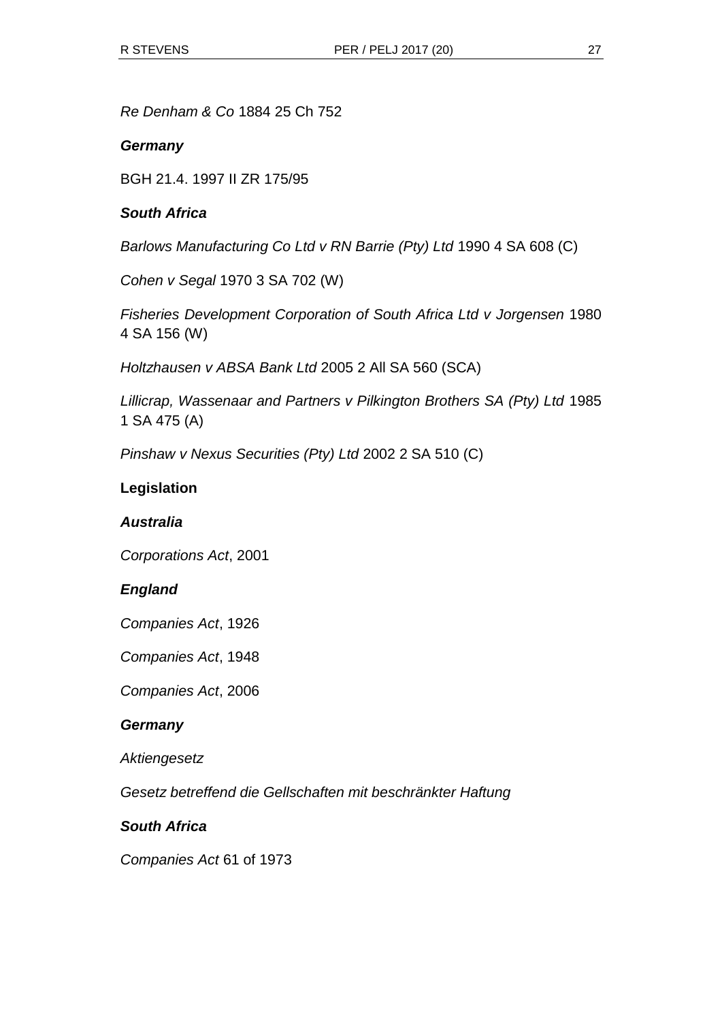*Re Denham & Co* 1884 25 Ch 752

### *Germany*

BGH 21.4. 1997 II ZR 175/95

### *South Africa*

*Barlows Manufacturing Co Ltd v RN Barrie (Pty) Ltd* 1990 4 SA 608 (C)

*Cohen v Segal* 1970 3 SA 702 (W)

*Fisheries Development Corporation of South Africa Ltd v Jorgensen* 1980 4 SA 156 (W)

*Holtzhausen v ABSA Bank Ltd* 2005 2 All SA 560 (SCA)

*Lillicrap, Wassenaar and Partners v Pilkington Brothers SA (Pty) Ltd* 1985 1 SA 475 (A)

*Pinshaw v Nexus Securities (Pty) Ltd* 2002 2 SA 510 (C)

### **Legislation**

## *Australia*

*Corporations Act*, 2001

### *England*

*Companies Act*, 1926

*Companies Act*, 1948

*Companies Act*, 2006

### *Germany*

*Aktiengesetz*

*Gesetz betreffend die Gellschaften mit beschränkter Haftung*

### *South Africa*

*Companies Act* 61 of 1973